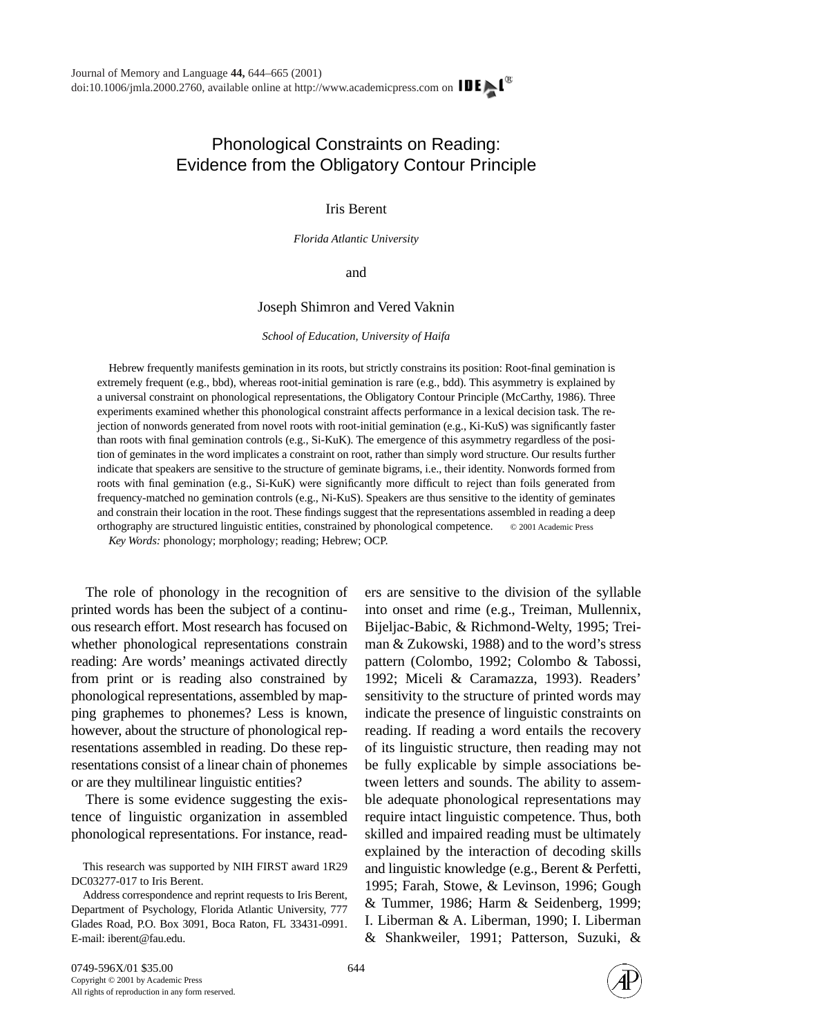# Phonological Constraints on Reading: Evidence from the Obligatory Contour Principle

Iris Berent

*Florida Atlantic University*

and

### Joseph Shimron and Vered Vaknin

*School of Education, University of Haifa*

Hebrew frequently manifests gemination in its roots, but strictly constrains its position: Root-final gemination is extremely frequent (e.g., bbd), whereas root-initial gemination is rare (e.g., bdd). This asymmetry is explained by a universal constraint on phonological representations, the Obligatory Contour Principle (McCarthy, 1986). Three experiments examined whether this phonological constraint affects performance in a lexical decision task. The rejection of nonwords generated from novel roots with root-initial gemination (e.g., Ki-KuS) was significantly faster than roots with final gemination controls (e.g., Si-KuK). The emergence of this asymmetry regardless of the position of geminates in the word implicates a constraint on root, rather than simply word structure. Our results further indicate that speakers are sensitive to the structure of geminate bigrams, i.e., their identity. Nonwords formed from roots with final gemination (e.g., Si-KuK) were significantly more difficult to reject than foils generated from frequency-matched no gemination controls (e.g., Ni-KuS). Speakers are thus sensitive to the identity of geminates and constrain their location in the root. These findings suggest that the representations assembled in reading a deep orthography are structured linguistic entities, constrained by phonological competence. © 2001 Academic Press *Key Words:* phonology; morphology; reading; Hebrew; OCP.

The role of phonology in the recognition of printed words has been the subject of a continuous research effort. Most research has focused on whether phonological representations constrain reading: Are words' meanings activated directly from print or is reading also constrained by phonological representations, assembled by mapping graphemes to phonemes? Less is known, however, about the structure of phonological representations assembled in reading. Do these representations consist of a linear chain of phonemes or are they multilinear linguistic entities?

There is some evidence suggesting the existence of linguistic organization in assembled phonological representations. For instance, readers are sensitive to the division of the syllable into onset and rime (e.g., Treiman, Mullennix, Bijeljac-Babic, & Richmond-Welty, 1995; Treiman & Zukowski, 1988) and to the word's stress pattern (Colombo, 1992; Colombo & Tabossi, 1992; Miceli & Caramazza, 1993). Readers' sensitivity to the structure of printed words may indicate the presence of linguistic constraints on reading. If reading a word entails the recovery of its linguistic structure, then reading may not be fully explicable by simple associations between letters and sounds. The ability to assemble adequate phonological representations may require intact linguistic competence. Thus, both skilled and impaired reading must be ultimately explained by the interaction of decoding skills and linguistic knowledge (e.g., Berent & Perfetti, 1995; Farah, Stowe, & Levinson, 1996; Gough & Tummer, 1986; Harm & Seidenberg, 1999; I. Liberman & A. Liberman, 1990; I. Liberman & Shankweiler, 1991; Patterson, Suzuki, &



This research was supported by NIH FIRST award 1R29 DC03277-017 to Iris Berent.

Address correspondence and reprint requests to Iris Berent, Department of Psychology, Florida Atlantic University, 777 Glades Road, P.O. Box 3091, Boca Raton, FL 33431-0991. E-mail: iberent@fau.edu.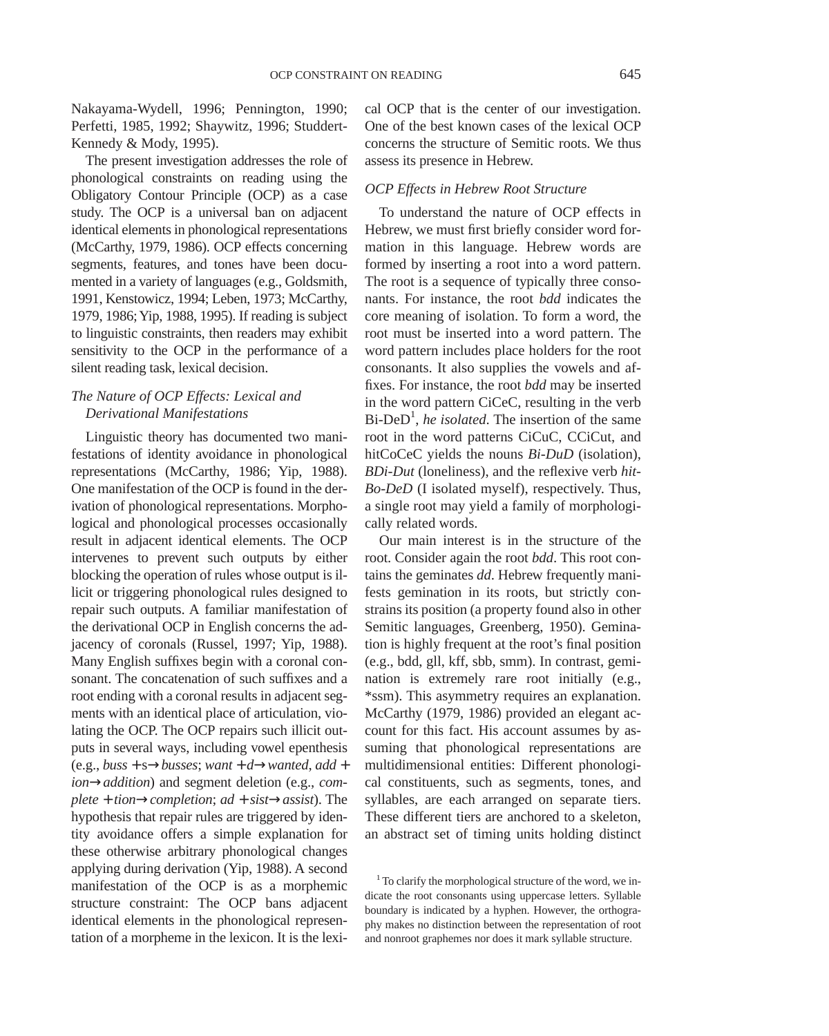Nakayama-Wydell, 1996; Pennington, 1990; Perfetti, 1985, 1992; Shaywitz, 1996; Studdert-Kennedy & Mody, 1995).

The present investigation addresses the role of phonological constraints on reading using the Obligatory Contour Principle (OCP) as a case study. The OCP is a universal ban on adjacent identical elements in phonological representations (McCarthy, 1979, 1986). OCP effects concerning segments, features, and tones have been documented in a variety of languages (e.g., Goldsmith, 1991, Kenstowicz, 1994; Leben, 1973; McCarthy, 1979, 1986; Yip, 1988, 1995). If reading is subject to linguistic constraints, then readers may exhibit sensitivity to the OCP in the performance of a silent reading task, lexical decision.

### *The Nature of OCP Effects: Lexical and Derivational Manifestations*

Linguistic theory has documented two manifestations of identity avoidance in phonological representations (McCarthy, 1986; Yip, 1988). One manifestation of the OCP is found in the derivation of phonological representations. Morphological and phonological processes occasionally result in adjacent identical elements. The OCP intervenes to prevent such outputs by either blocking the operation of rules whose output is illicit or triggering phonological rules designed to repair such outputs. A familiar manifestation of the derivational OCP in English concerns the adjacency of coronals (Russel, 1997; Yip, 1988). Many English suffixes begin with a coronal consonant. The concatenation of such suffixes and a root ending with a coronal results in adjacent segments with an identical place of articulation, violating the OCP. The OCP repairs such illicit outputs in several ways, including vowel epenthesis (e.g., *buss* + s→*busses*; *want* + *d*→*wanted*, *add* + *ion*→*addition*) and segment deletion (e.g., *complete* + *tion*→*completion*; *ad* + *sist*→*assist*). The hypothesis that repair rules are triggered by identity avoidance offers a simple explanation for these otherwise arbitrary phonological changes applying during derivation (Yip, 1988). A second manifestation of the OCP is as a morphemic structure constraint: The OCP bans adjacent identical elements in the phonological representation of a morpheme in the lexicon. It is the lexical OCP that is the center of our investigation. One of the best known cases of the lexical OCP concerns the structure of Semitic roots. We thus assess its presence in Hebrew.

#### *OCP Effects in Hebrew Root Structure*

To understand the nature of OCP effects in Hebrew, we must first briefly consider word formation in this language. Hebrew words are formed by inserting a root into a word pattern. The root is a sequence of typically three consonants. For instance, the root *bdd* indicates the core meaning of isolation. To form a word, the root must be inserted into a word pattern. The word pattern includes place holders for the root consonants. It also supplies the vowels and affixes. For instance, the root *bdd* may be inserted in the word pattern CiCeC, resulting in the verb  $Bi-DeD<sup>1</sup>$ , *he isolated*. The insertion of the same root in the word patterns CiCuC, CCiCut, and hitCoCeC yields the nouns *Bi-DuD* (isolation), *BDi-Dut* (loneliness), and the reflexive verb *hit-Bo-DeD* (I isolated myself), respectively. Thus, a single root may yield a family of morphologically related words.

Our main interest is in the structure of the root. Consider again the root *bdd*. This root contains the geminates *dd*. Hebrew frequently manifests gemination in its roots, but strictly constrains its position (a property found also in other Semitic languages, Greenberg, 1950). Gemination is highly frequent at the root's final position (e.g., bdd, gll, kff, sbb, smm). In contrast, gemination is extremely rare root initially (e.g., \*ssm). This asymmetry requires an explanation. McCarthy (1979, 1986) provided an elegant account for this fact. His account assumes by assuming that phonological representations are multidimensional entities: Different phonological constituents, such as segments, tones, and syllables, are each arranged on separate tiers. These different tiers are anchored to a skeleton, an abstract set of timing units holding distinct

<sup>1</sup> To clarify the morphological structure of the word, we indicate the root consonants using uppercase letters. Syllable boundary is indicated by a hyphen. However, the orthography makes no distinction between the representation of root and nonroot graphemes nor does it mark syllable structure.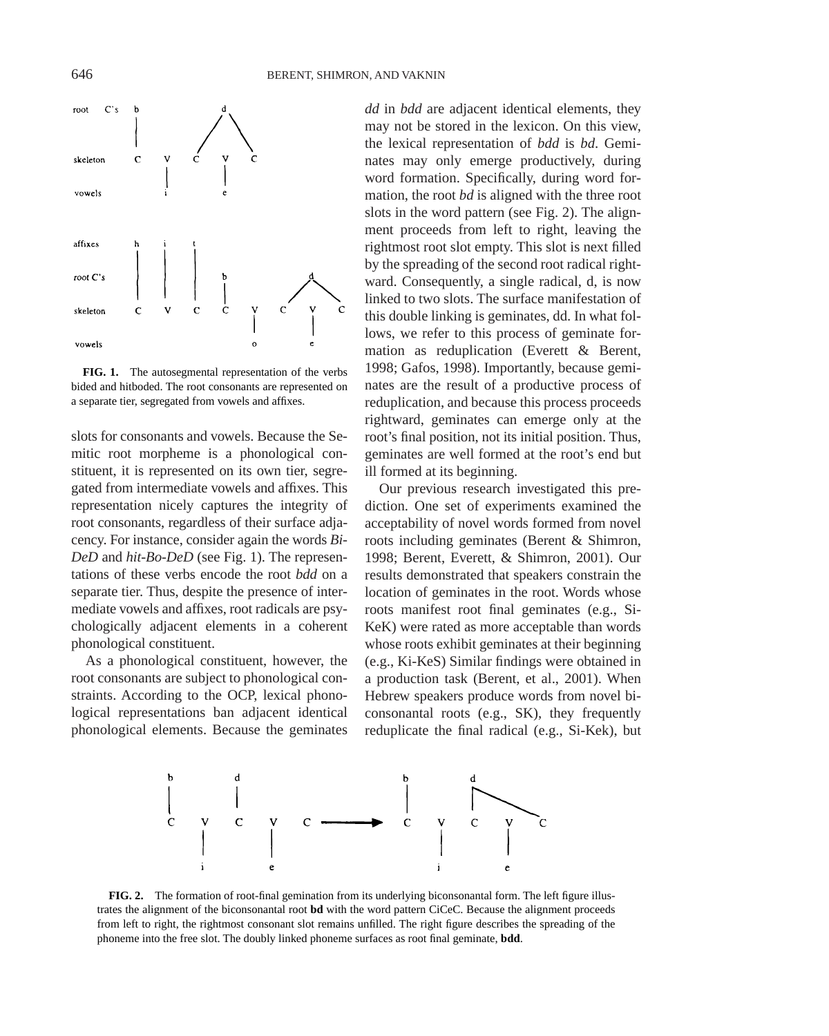

skeleton

vowels

**FIG. 1.** The autosegmental representation of the verbs bided and hitboded. The root consonants are represented on a separate tier, segregated from vowels and affixes.

slots for consonants and vowels. Because the Semitic root morpheme is a phonological constituent, it is represented on its own tier, segregated from intermediate vowels and affixes. This representation nicely captures the integrity of root consonants, regardless of their surface adjacency. For instance, consider again the words *Bi-DeD* and *hit-Bo-DeD* (see Fig. 1). The representations of these verbs encode the root *bdd* on a separate tier. Thus, despite the presence of intermediate vowels and affixes, root radicals are psychologically adjacent elements in a coherent phonological constituent.

As a phonological constituent, however, the root consonants are subject to phonological constraints. According to the OCP, lexical phonological representations ban adjacent identical phonological elements. Because the geminates *dd* in *bdd* are adjacent identical elements, they may not be stored in the lexicon. On this view, the lexical representation of *bdd* is *bd*. Geminates may only emerge productively, during word formation. Specifically, during word formation, the root *bd* is aligned with the three root slots in the word pattern (see Fig. 2). The alignment proceeds from left to right, leaving the rightmost root slot empty. This slot is next filled by the spreading of the second root radical rightward. Consequently, a single radical, d, is now linked to two slots. The surface manifestation of this double linking is geminates, dd. In what follows, we refer to this process of geminate formation as reduplication (Everett & Berent, 1998; Gafos, 1998). Importantly, because geminates are the result of a productive process of reduplication, and because this process proceeds rightward, geminates can emerge only at the root's final position, not its initial position. Thus, geminates are well formed at the root's end but ill formed at its beginning.

Our previous research investigated this prediction. One set of experiments examined the acceptability of novel words formed from novel roots including geminates (Berent & Shimron, 1998; Berent, Everett, & Shimron, 2001). Our results demonstrated that speakers constrain the location of geminates in the root. Words whose roots manifest root final geminates (e.g., Si-KeK) were rated as more acceptable than words whose roots exhibit geminates at their beginning (e.g., Ki-KeS) Similar findings were obtained in a production task (Berent, et al., 2001). When Hebrew speakers produce words from novel biconsonantal roots (e.g., SK), they frequently reduplicate the final radical (e.g., Si-Kek), but



**FIG. 2.** The formation of root-final gemination from its underlying biconsonantal form. The left figure illustrates the alignment of the biconsonantal root **bd** with the word pattern CiCeC. Because the alignment proceeds from left to right, the rightmost consonant slot remains unfilled. The right figure describes the spreading of the phoneme into the free slot. The doubly linked phoneme surfaces as root final geminate, **bdd**.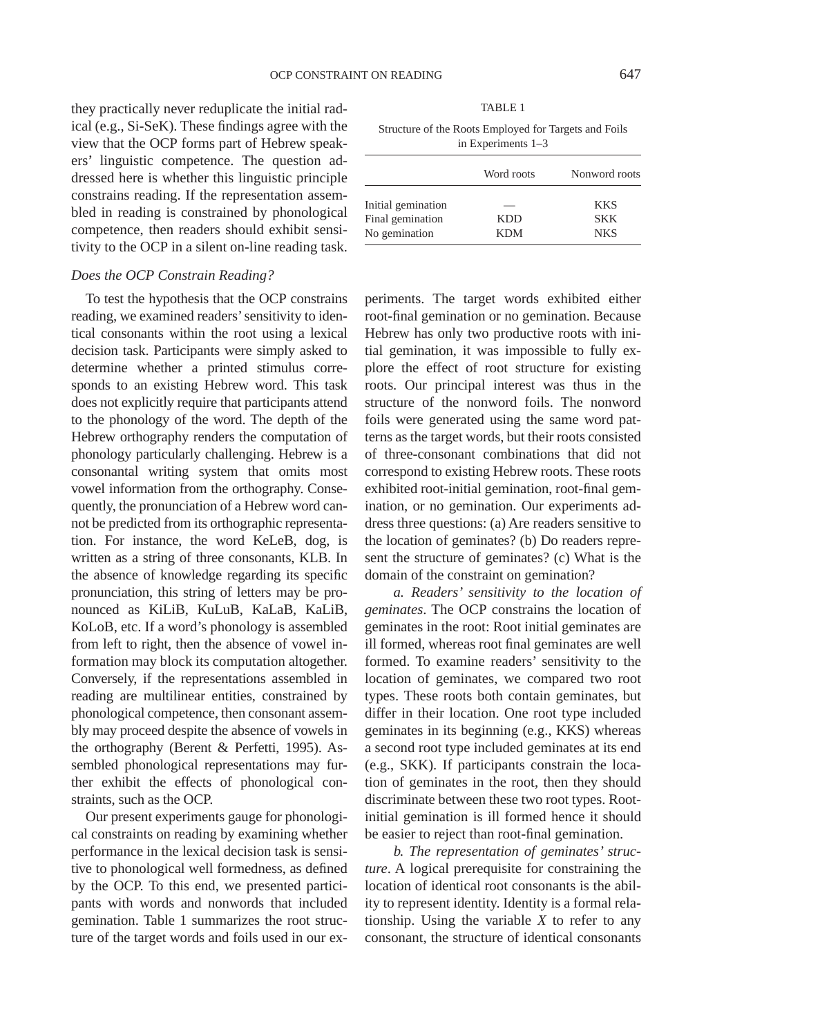ers' linguistic competence. The question addressed here is whether this linguistic principle constrains reading. If the representation assembled in reading is constrained by phonological competence, then readers should exhibit sensitivity to the OCP in a silent on-line reading task.

### *Does the OCP Constrain Reading?*

To test the hypothesis that the OCP constrains reading, we examined readers' sensitivity to identical consonants within the root using a lexical decision task. Participants were simply asked to determine whether a printed stimulus corresponds to an existing Hebrew word. This task does not explicitly require that participants attend to the phonology of the word. The depth of the Hebrew orthography renders the computation of phonology particularly challenging. Hebrew is a consonantal writing system that omits most vowel information from the orthography. Consequently, the pronunciation of a Hebrew word cannot be predicted from its orthographic representation. For instance, the word KeLeB, dog, is written as a string of three consonants, KLB. In the absence of knowledge regarding its specific pronunciation, this string of letters may be pronounced as KiLiB, KuLuB, KaLaB, KaLiB, KoLoB, etc. If a word's phonology is assembled from left to right, then the absence of vowel information may block its computation altogether. Conversely, if the representations assembled in reading are multilinear entities, constrained by phonological competence, then consonant assembly may proceed despite the absence of vowels in the orthography (Berent & Perfetti, 1995). Assembled phonological representations may further exhibit the effects of phonological constraints, such as the OCP.

Our present experiments gauge for phonological constraints on reading by examining whether performance in the lexical decision task is sensitive to phonological well formedness, as defined by the OCP. To this end, we presented participants with words and nonwords that included gemination. Table 1 summarizes the root structure of the target words and foils used in our ex-

TABLE 1 Structure of the Roots Employed for Targets and Foils in Experiments 1–3

|                    | Word roots | Nonword roots |
|--------------------|------------|---------------|
| Initial gemination |            | <b>KKS</b>    |
| Final gemination   | <b>KDD</b> | <b>SKK</b>    |
| No gemination      | <b>KDM</b> | <b>NKS</b>    |

periments. The target words exhibited either root-final gemination or no gemination. Because Hebrew has only two productive roots with initial gemination, it was impossible to fully explore the effect of root structure for existing roots. Our principal interest was thus in the structure of the nonword foils. The nonword foils were generated using the same word patterns as the target words, but their roots consisted of three-consonant combinations that did not correspond to existing Hebrew roots. These roots exhibited root-initial gemination, root-final gemination, or no gemination. Our experiments address three questions: (a) Are readers sensitive to the location of geminates? (b) Do readers represent the structure of geminates? (c) What is the domain of the constraint on gemination?

*a. Readers' sensitivity to the location of geminates*. The OCP constrains the location of geminates in the root: Root initial geminates are ill formed, whereas root final geminates are well formed. To examine readers' sensitivity to the location of geminates, we compared two root types. These roots both contain geminates, but differ in their location. One root type included geminates in its beginning (e.g., KKS) whereas a second root type included geminates at its end (e.g., SKK). If participants constrain the location of geminates in the root, then they should discriminate between these two root types. Rootinitial gemination is ill formed hence it should be easier to reject than root-final gemination.

*b. The representation of geminates' structure*. A logical prerequisite for constraining the location of identical root consonants is the ability to represent identity. Identity is a formal relationship. Using the variable *X* to refer to any consonant, the structure of identical consonants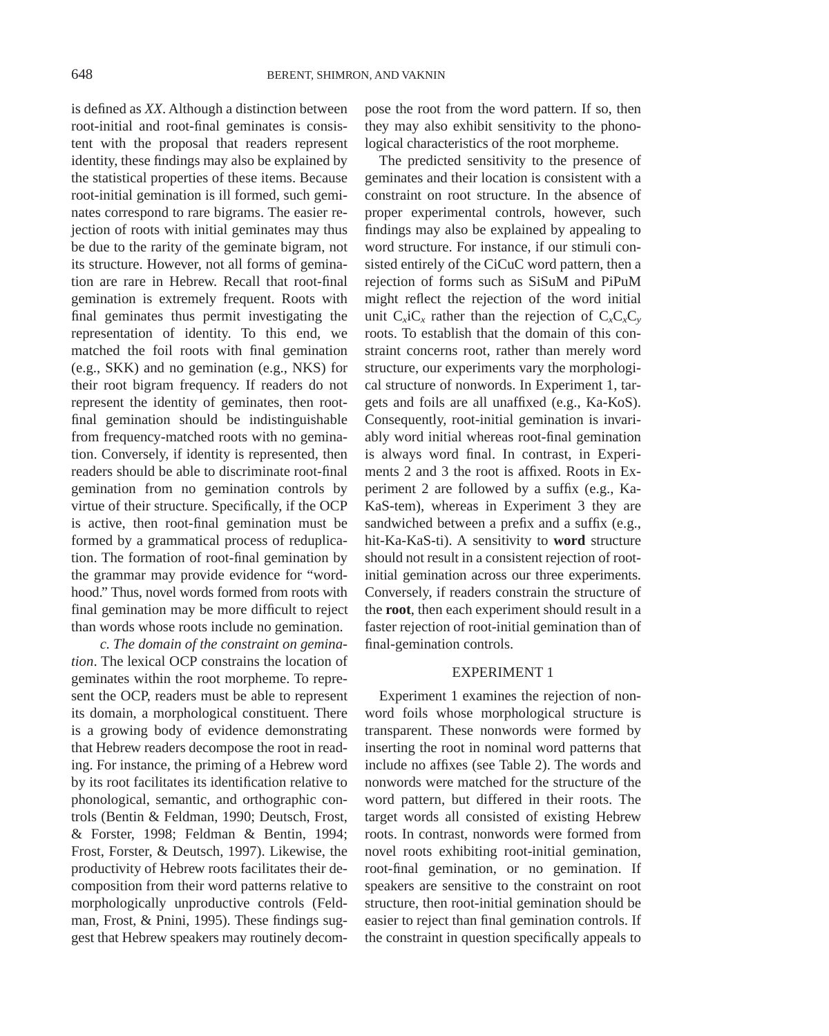is defined as *XX*. Although a distinction between root-initial and root-final geminates is consistent with the proposal that readers represent identity, these findings may also be explained by the statistical properties of these items. Because root-initial gemination is ill formed, such geminates correspond to rare bigrams. The easier rejection of roots with initial geminates may thus be due to the rarity of the geminate bigram, not its structure. However, not all forms of gemination are rare in Hebrew. Recall that root-final gemination is extremely frequent. Roots with final geminates thus permit investigating the representation of identity. To this end, we matched the foil roots with final gemination (e.g., SKK) and no gemination (e.g., NKS) for their root bigram frequency. If readers do not represent the identity of geminates, then rootfinal gemination should be indistinguishable from frequency-matched roots with no gemination. Conversely, if identity is represented, then readers should be able to discriminate root-final gemination from no gemination controls by virtue of their structure. Specifically, if the OCP is active, then root-final gemination must be formed by a grammatical process of reduplication. The formation of root-final gemination by the grammar may provide evidence for "wordhood." Thus, novel words formed from roots with final gemination may be more difficult to reject than words whose roots include no gemination.

*c. The domain of the constraint on gemination*. The lexical OCP constrains the location of geminates within the root morpheme. To represent the OCP, readers must be able to represent its domain, a morphological constituent. There is a growing body of evidence demonstrating that Hebrew readers decompose the root in reading. For instance, the priming of a Hebrew word by its root facilitates its identification relative to phonological, semantic, and orthographic controls (Bentin & Feldman, 1990; Deutsch, Frost, & Forster, 1998; Feldman & Bentin, 1994; Frost, Forster, & Deutsch, 1997). Likewise, the productivity of Hebrew roots facilitates their decomposition from their word patterns relative to morphologically unproductive controls (Feldman, Frost, & Pnini, 1995). These findings suggest that Hebrew speakers may routinely decompose the root from the word pattern. If so, then they may also exhibit sensitivity to the phonological characteristics of the root morpheme.

The predicted sensitivity to the presence of geminates and their location is consistent with a constraint on root structure. In the absence of proper experimental controls, however, such findings may also be explained by appealing to word structure. For instance, if our stimuli consisted entirely of the CiCuC word pattern, then a rejection of forms such as SiSuM and PiPuM might reflect the rejection of the word initial unit  $C_x$ i $C_x$  rather than the rejection of  $C_xC_xC_y$ roots. To establish that the domain of this constraint concerns root, rather than merely word structure, our experiments vary the morphological structure of nonwords. In Experiment 1, targets and foils are all unaffixed (e.g., Ka-KoS). Consequently, root-initial gemination is invariably word initial whereas root-final gemination is always word final. In contrast, in Experiments 2 and 3 the root is affixed. Roots in Experiment 2 are followed by a suffix (e.g., Ka-KaS-tem), whereas in Experiment 3 they are sandwiched between a prefix and a suffix (e.g., hit-Ka-KaS-ti). A sensitivity to **word** structure should not result in a consistent rejection of rootinitial gemination across our three experiments. Conversely, if readers constrain the structure of the **root**, then each experiment should result in a faster rejection of root-initial gemination than of final-gemination controls.

#### EXPERIMENT 1

Experiment 1 examines the rejection of nonword foils whose morphological structure is transparent. These nonwords were formed by inserting the root in nominal word patterns that include no affixes (see Table 2). The words and nonwords were matched for the structure of the word pattern, but differed in their roots. The target words all consisted of existing Hebrew roots. In contrast, nonwords were formed from novel roots exhibiting root-initial gemination, root-final gemination, or no gemination. If speakers are sensitive to the constraint on root structure, then root-initial gemination should be easier to reject than final gemination controls. If the constraint in question specifically appeals to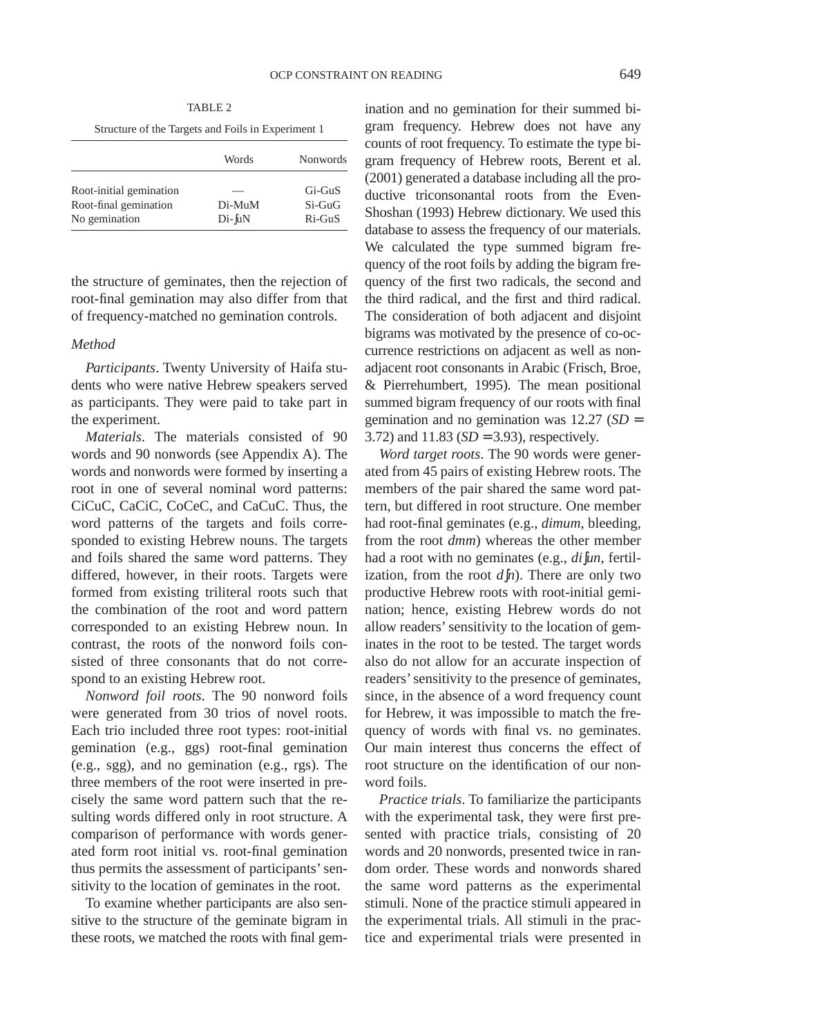TABLE 2

|  | Structure of the Targets and Foils in Experiment 1 |
|--|----------------------------------------------------|
|  |                                                    |

|                                        | Words                    | Nonwords             |
|----------------------------------------|--------------------------|----------------------|
| Root-initial gemination                |                          | Gi-GuS               |
| Root-final gemination<br>No gemination | Di-MuM<br>$Di$ - $\mu$ N | $Si-GuG$<br>$Ri-GuS$ |

the structure of geminates, then the rejection of root-final gemination may also differ from that of frequency-matched no gemination controls.

#### *Method*

*Participants*. Twenty University of Haifa students who were native Hebrew speakers served as participants. They were paid to take part in the experiment.

*Materials*. The materials consisted of 90 words and 90 nonwords (see Appendix A). The words and nonwords were formed by inserting a root in one of several nominal word patterns: CiCuC, CaCiC, CoCeC, and CaCuC. Thus, the word patterns of the targets and foils corresponded to existing Hebrew nouns. The targets and foils shared the same word patterns. They differed, however, in their roots. Targets were formed from existing triliteral roots such that the combination of the root and word pattern corresponded to an existing Hebrew noun. In contrast, the roots of the nonword foils consisted of three consonants that do not correspond to an existing Hebrew root.

*Nonword foil roots*. The 90 nonword foils were generated from 30 trios of novel roots. Each trio included three root types: root-initial gemination (e.g., ggs) root-final gemination (e.g., sgg), and no gemination (e.g., rgs). The three members of the root were inserted in precisely the same word pattern such that the resulting words differed only in root structure. A comparison of performance with words generated form root initial vs. root-final gemination thus permits the assessment of participants' sensitivity to the location of geminates in the root.

To examine whether participants are also sensitive to the structure of the geminate bigram in these roots, we matched the roots with final gemination and no gemination for their summed bigram frequency. Hebrew does not have any counts of root frequency. To estimate the type bigram frequency of Hebrew roots, Berent et al. (2001) generated a database including all the productive triconsonantal roots from the Even-Shoshan (1993) Hebrew dictionary. We used this database to assess the frequency of our materials. We calculated the type summed bigram frequency of the root foils by adding the bigram frequency of the first two radicals, the second and the third radical, and the first and third radical. The consideration of both adjacent and disjoint bigrams was motivated by the presence of co-occurrence restrictions on adjacent as well as nonadjacent root consonants in Arabic (Frisch, Broe, & Pierrehumbert, 1995). The mean positional summed bigram frequency of our roots with final gemination and no gemination was 12.27 (*SD* = 3.72) and 11.83 (*SD* = 3.93), respectively.

*Word target roots*. The 90 words were generated from 45 pairs of existing Hebrew roots. The members of the pair shared the same word pattern, but differed in root structure. One member had root-final geminates (e.g., *dimum*, bleeding, from the root *dmm*) whereas the other member had a root with no geminates (e.g., *di*∫*un*, fertilization, from the root  $d(n)$ . There are only two productive Hebrew roots with root-initial gemination; hence, existing Hebrew words do not allow readers' sensitivity to the location of geminates in the root to be tested. The target words also do not allow for an accurate inspection of readers' sensitivity to the presence of geminates, since, in the absence of a word frequency count for Hebrew, it was impossible to match the frequency of words with final vs. no geminates. Our main interest thus concerns the effect of root structure on the identification of our nonword foils.

*Practice trials*. To familiarize the participants with the experimental task, they were first presented with practice trials, consisting of 20 words and 20 nonwords, presented twice in random order. These words and nonwords shared the same word patterns as the experimental stimuli. None of the practice stimuli appeared in the experimental trials. All stimuli in the practice and experimental trials were presented in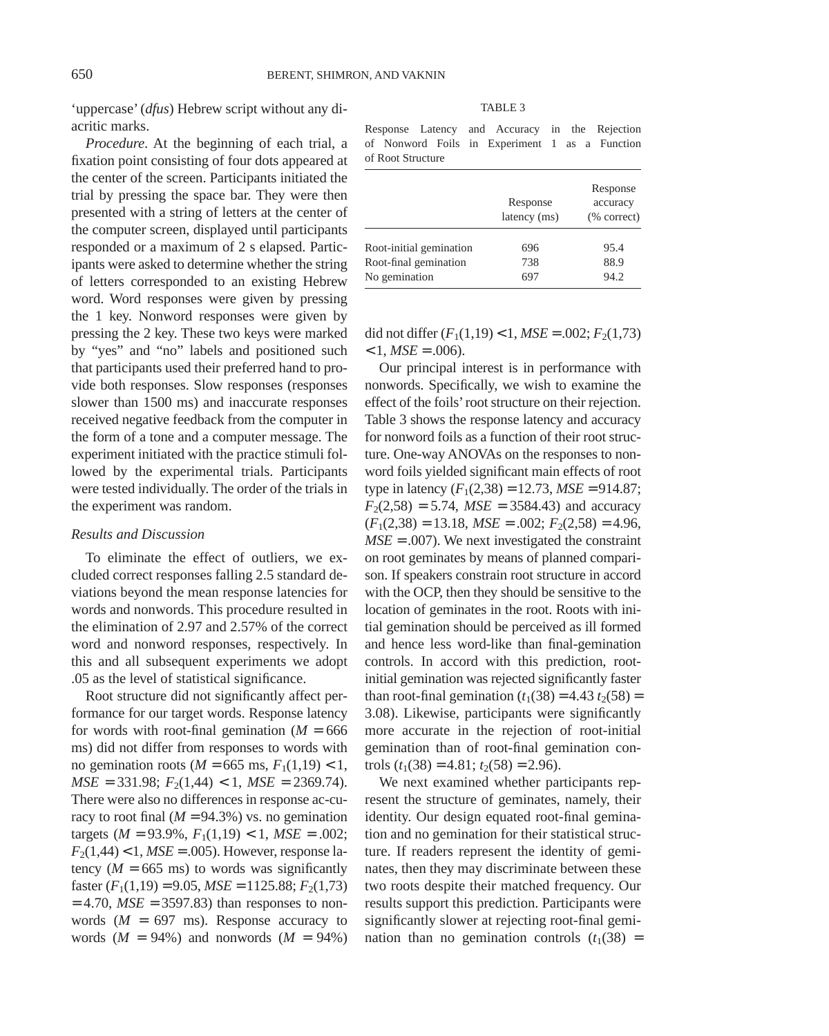'uppercase' (*dfus*) Hebrew script without any diacritic marks.

*Procedure*. At the beginning of each trial, a fixation point consisting of four dots appeared at the center of the screen. Participants initiated the trial by pressing the space bar. They were then presented with a string of letters at the center of the computer screen, displayed until participants responded or a maximum of 2 s elapsed. Participants were asked to determine whether the string of letters corresponded to an existing Hebrew word. Word responses were given by pressing the 1 key. Nonword responses were given by pressing the 2 key. These two keys were marked by "yes" and "no" labels and positioned such that participants used their preferred hand to provide both responses. Slow responses (responses slower than 1500 ms) and inaccurate responses received negative feedback from the computer in the form of a tone and a computer message. The experiment initiated with the practice stimuli followed by the experimental trials. Participants were tested individually. The order of the trials in the experiment was random.

#### *Results and Discussion*

To eliminate the effect of outliers, we excluded correct responses falling 2.5 standard deviations beyond the mean response latencies for words and nonwords. This procedure resulted in the elimination of 2.97 and 2.57% of the correct word and nonword responses, respectively. In this and all subsequent experiments we adopt .05 as the level of statistical significance.

Root structure did not significantly affect performance for our target words. Response latency for words with root-final gemination  $(M = 666$ ms) did not differ from responses to words with no gemination roots ( $M = 665$  ms,  $F_1(1,19) < 1$ ,  $MSE = 331.98$ ;  $F<sub>2</sub>(1,44) < 1$ ,  $MSE = 2369.74$ ). There were also no differences in response ac-curacy to root final  $(M = 94.3\%)$  vs. no gemination targets  $(M = 93.9\%, F_1(1,19) < 1, MSE = .002;$  $F_2(1,44) < 1, MSE = .005$ . However, response latency  $(M = 665 \text{ ms})$  to words was significantly faster  $(F_1(1,19) = 9.05$ ,  $MSE = 1125.88$ ;  $F_2(1,73)$  $= 4.70$ ,  $MSE = 3597.83$ ) than responses to nonwords  $(M = 697 \text{ ms})$ . Response accuracy to words  $(M = 94\%)$  and nonwords  $(M = 94\%)$ 

### TABLE 3

|                   |  | Response Latency and Accuracy in the Rejection |  |  |
|-------------------|--|------------------------------------------------|--|--|
|                   |  | of Nonword Foils in Experiment 1 as a Function |  |  |
| of Root Structure |  |                                                |  |  |

|                         | Response<br>latency (ms) | Response<br>accuracy<br>$%$ correct) |
|-------------------------|--------------------------|--------------------------------------|
| Root-initial gemination | 696                      | 95.4                                 |
| Root-final gemination   | 738                      | 88.9                                 |
| No gemination           | 697                      | 94.2                                 |

did not differ  $(F_1(1,19) < 1, MSE = .002; F_2(1,73)$  $< 1$ ,  $MSE = .006$ ).

Our principal interest is in performance with nonwords. Specifically, we wish to examine the effect of the foils'root structure on their rejection. Table 3 shows the response latency and accuracy for nonword foils as a function of their root structure. One-way ANOVAs on the responses to nonword foils yielded significant main effects of root type in latency  $(F_1(2,38) = 12.73$ ,  $MSE = 914.87$ ;  $F<sub>2</sub>(2,58) = 5.74$ , *MSE* = 3584.43) and accuracy  $(F_1(2,38) = 13.18, \text{MSE} = .002; \text{ } F_2(2,58) = 4.96,$  $MSE = .007$ ). We next investigated the constraint on root geminates by means of planned comparison. If speakers constrain root structure in accord with the OCP, then they should be sensitive to the location of geminates in the root. Roots with initial gemination should be perceived as ill formed and hence less word-like than final-gemination controls. In accord with this prediction, rootinitial gemination was rejected significantly faster than root-final gemination  $(t_1(38) = 4.43 t_2(58) =$ 3.08). Likewise, participants were significantly more accurate in the rejection of root-initial gemination than of root-final gemination controls  $(t_1(38) = 4.81; t_2(58) = 2.96$ .

We next examined whether participants represent the structure of geminates, namely, their identity. Our design equated root-final gemination and no gemination for their statistical structure. If readers represent the identity of geminates, then they may discriminate between these two roots despite their matched frequency. Our results support this prediction. Participants were significantly slower at rejecting root-final gemination than no gemination controls  $(t<sub>1</sub>(38))$  =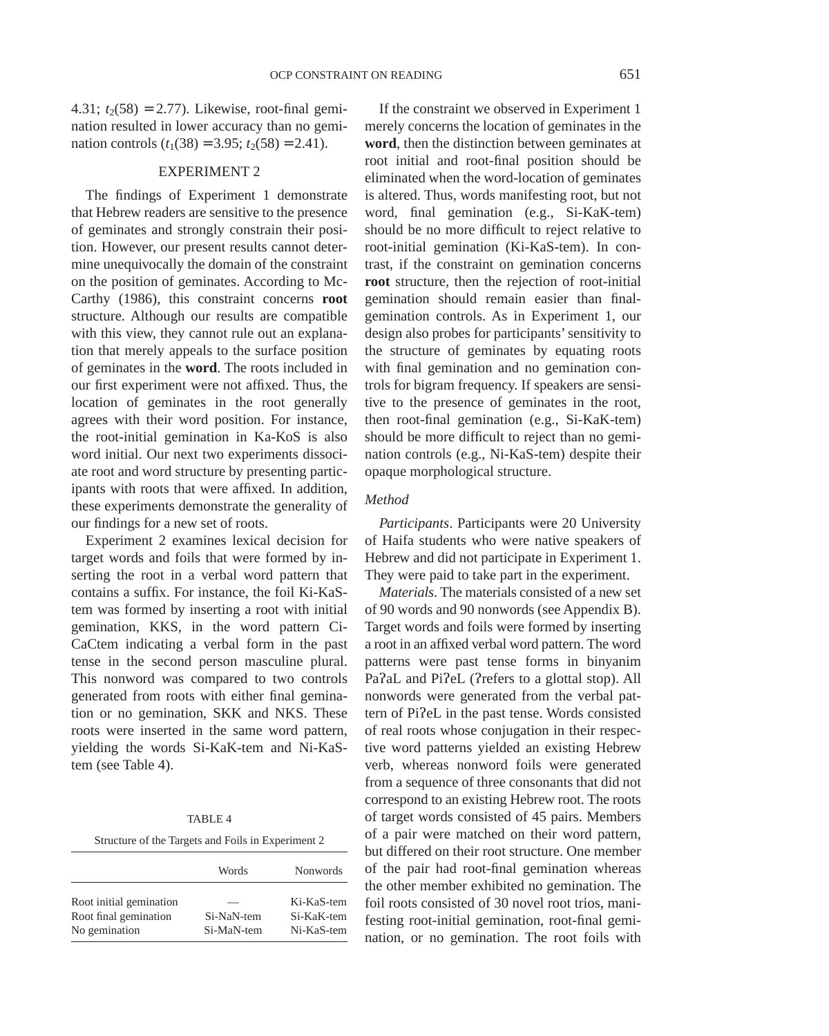4.31;  $t_2(58) = 2.77$ ). Likewise, root-final gemination resulted in lower accuracy than no gemination controls  $(t_1(38) = 3.95; t_2(58) = 2.41$ .

### EXPERIMENT 2

The findings of Experiment 1 demonstrate that Hebrew readers are sensitive to the presence of geminates and strongly constrain their position. However, our present results cannot determine unequivocally the domain of the constraint on the position of geminates. According to Mc-Carthy (1986), this constraint concerns **root** structure. Although our results are compatible with this view, they cannot rule out an explanation that merely appeals to the surface position of geminates in the **word**. The roots included in our first experiment were not affixed. Thus, the location of geminates in the root generally agrees with their word position. For instance, the root-initial gemination in Ka-KoS is also word initial. Our next two experiments dissociate root and word structure by presenting participants with roots that were affixed. In addition, these experiments demonstrate the generality of our findings for a new set of roots.

Experiment 2 examines lexical decision for target words and foils that were formed by inserting the root in a verbal word pattern that contains a suffix. For instance, the foil Ki-KaStem was formed by inserting a root with initial gemination, KKS, in the word pattern Ci-CaCtem indicating a verbal form in the past tense in the second person masculine plural. This nonword was compared to two controls generated from roots with either final gemination or no gemination, SKK and NKS. These roots were inserted in the same word pattern, yielding the words Si-KaK-tem and Ni-KaStem (see Table 4).

TABLE 4

|  |  | Structure of the Targets and Foils in Experiment 2 |
|--|--|----------------------------------------------------|
|--|--|----------------------------------------------------|

| Words      | <b>Nonwords</b>          |
|------------|--------------------------|
|            | Ki-KaS-tem               |
| Si-NaN-tem | Si-KaK-tem<br>Ni-KaS-tem |
|            | Si-MaN-tem               |

If the constraint we observed in Experiment 1 merely concerns the location of geminates in the **word**, then the distinction between geminates at root initial and root-final position should be eliminated when the word-location of geminates is altered. Thus, words manifesting root, but not word, final gemination (e.g., Si-KaK-tem) should be no more difficult to reject relative to root-initial gemination (Ki-KaS-tem). In contrast, if the constraint on gemination concerns **root** structure, then the rejection of root-initial gemination should remain easier than finalgemination controls. As in Experiment 1, our design also probes for participants' sensitivity to the structure of geminates by equating roots with final gemination and no gemination controls for bigram frequency. If speakers are sensitive to the presence of geminates in the root, then root-final gemination (e.g., Si-KaK-tem) should be more difficult to reject than no gemination controls (e.g., Ni-KaS-tem) despite their opaque morphological structure.

### *Method*

*Participants*. Participants were 20 University of Haifa students who were native speakers of Hebrew and did not participate in Experiment 1. They were paid to take part in the experiment.

*Materials*. The materials consisted of a new set of 90 words and 90 nonwords (see Appendix B). Target words and foils were formed by inserting a root in an affixed verbal word pattern. The word patterns were past tense forms in binyanim PaʔaL and PiʔeL (ʔrefers to a glottal stop). All nonwords were generated from the verbal pattern of PiʔeL in the past tense. Words consisted of real roots whose conjugation in their respective word patterns yielded an existing Hebrew verb, whereas nonword foils were generated from a sequence of three consonants that did not correspond to an existing Hebrew root. The roots of target words consisted of 45 pairs. Members of a pair were matched on their word pattern, but differed on their root structure. One member of the pair had root-final gemination whereas the other member exhibited no gemination. The foil roots consisted of 30 novel root trios, manifesting root-initial gemination, root-final gemination, or no gemination. The root foils with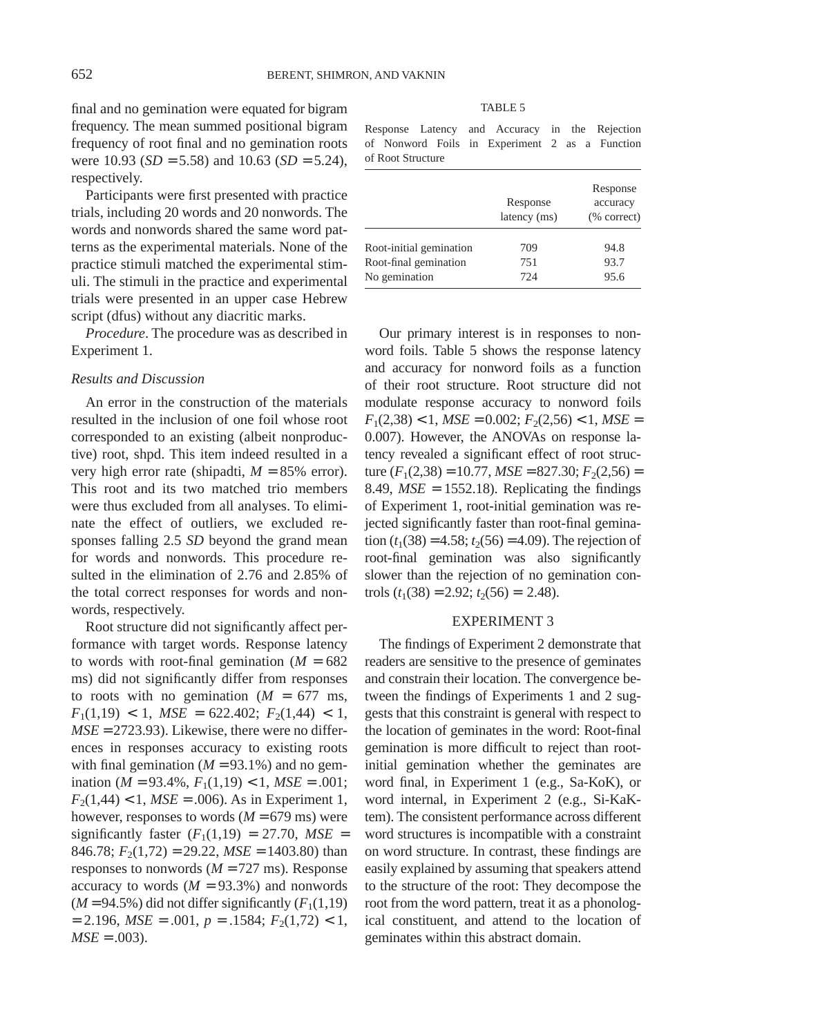final and no gemination were equated for bigram frequency. The mean summed positional bigram frequency of root final and no gemination roots were 10.93 (*SD* = 5.58) and 10.63 (*SD* = 5.24), respectively.

Participants were first presented with practice trials, including 20 words and 20 nonwords. The words and nonwords shared the same word patterns as the experimental materials. None of the practice stimuli matched the experimental stimuli. The stimuli in the practice and experimental trials were presented in an upper case Hebrew script (dfus) without any diacritic marks.

*Procedure*. The procedure was as described in Experiment 1.

#### *Results and Discussion*

An error in the construction of the materials resulted in the inclusion of one foil whose root corresponded to an existing (albeit nonproductive) root, shpd. This item indeed resulted in a very high error rate (shipadti,  $M = 85\%$  error). This root and its two matched trio members were thus excluded from all analyses. To eliminate the effect of outliers, we excluded responses falling 2.5 *SD* beyond the grand mean for words and nonwords. This procedure resulted in the elimination of 2.76 and 2.85% of the total correct responses for words and nonwords, respectively.

Root structure did not significantly affect performance with target words. Response latency to words with root-final gemination  $(M = 682)$ ms) did not significantly differ from responses to roots with no gemination  $(M = 677 \text{ ms})$ ,  $F_1(1,19) < 1, \text{ MSE} = 622.402; \ F_2(1,44) < 1,$  $MSE = 2723.93$ . Likewise, there were no differences in responses accuracy to existing roots with final gemination  $(M = 93.1\%)$  and no gemination ( $M = 93.4\%$ ,  $F_1(1,19) < 1$ ,  $MSE = .001$ ;  $F_2(1,44) < 1, MSE = .006$ . As in Experiment 1, however, responses to words  $(M = 679 \text{ ms})$  were significantly faster  $(F_1(1,19) = 27.70, MSE =$ 846.78;  $F_2(1,72) = 29.22$ ,  $MSE = 1403.80$ ) than responses to nonwords (*M* = 727 ms). Response accuracy to words  $(M = 93.3\%)$  and nonwords  $(M = 94.5\%)$  did not differ significantly  $(F_1(1,19))$  $= 2.196$ ,  $MSE = .001$ ,  $p = .1584$ ;  $F<sub>2</sub>(1,72) < 1$ ,  $MSE = .003$ ).

#### TABLE 5

|                   |  | Response Latency and Accuracy in the Rejection |  |  |
|-------------------|--|------------------------------------------------|--|--|
|                   |  | of Nonword Foils in Experiment 2 as a Function |  |  |
| of Root Structure |  |                                                |  |  |

|                         | Response<br>latency (ms) | Response<br>accuracy<br>$(% \mathcal{L}_{0}^{\infty} \times \mathcal{L}_{1})$ (% correct) |
|-------------------------|--------------------------|-------------------------------------------------------------------------------------------|
| Root-initial gemination | 709                      | 94.8                                                                                      |
| Root-final gemination   | 751                      | 93.7                                                                                      |
| No gemination           | 724                      | 95.6                                                                                      |

Our primary interest is in responses to nonword foils. Table 5 shows the response latency and accuracy for nonword foils as a function of their root structure. Root structure did not modulate response accuracy to nonword foils  $F_1(2,38) < 1$ ,  $MSE = 0.002$ ;  $F_2(2,56) < 1$ ,  $MSE =$ 0.007). However, the ANOVAs on response latency revealed a significant effect of root structure  $(F_1(2,38) = 10.77$ ,  $MSE = 827.30$ ;  $F_2(2,56) =$ 8.49,  $MSE = 1552.18$ ). Replicating the findings of Experiment 1, root-initial gemination was rejected significantly faster than root-final gemination  $(t_1(38) = 4.58; t_2(56) = 4.09$ ). The rejection of root-final gemination was also significantly slower than the rejection of no gemination controls  $(t_1(38) = 2.92$ ;  $t_2(56) = 2.48$ ).

### EXPERIMENT 3

The findings of Experiment 2 demonstrate that readers are sensitive to the presence of geminates and constrain their location. The convergence between the findings of Experiments 1 and 2 suggests that this constraint is general with respect to the location of geminates in the word: Root-final gemination is more difficult to reject than rootinitial gemination whether the geminates are word final, in Experiment 1 (e.g., Sa-KoK), or word internal, in Experiment 2 (e.g., Si-KaKtem). The consistent performance across different word structures is incompatible with a constraint on word structure. In contrast, these findings are easily explained by assuming that speakers attend to the structure of the root: They decompose the root from the word pattern, treat it as a phonological constituent, and attend to the location of geminates within this abstract domain.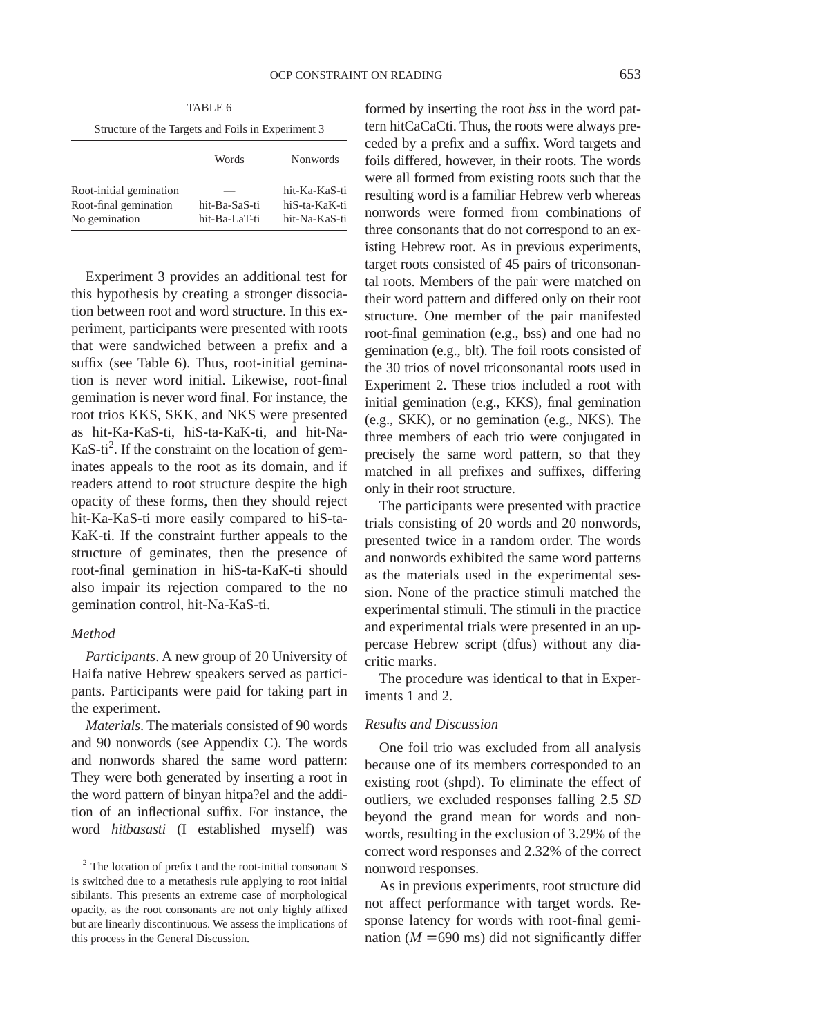TABLE 6 Structure of the Targets and Foils in Experiment 3

|                         | Words         | Nonwords      |
|-------------------------|---------------|---------------|
| Root-initial gemination |               | hit-Ka-KaS-ti |
| Root-final gemination   | hit-Ba-SaS-ti | hiS-ta-KaK-ti |
| No gemination           | hit-Ba-LaT-ti | hit-Na-KaS-ti |

Experiment 3 provides an additional test for this hypothesis by creating a stronger dissociation between root and word structure. In this experiment, participants were presented with roots that were sandwiched between a prefix and a suffix (see Table 6). Thus, root-initial gemination is never word initial. Likewise, root-final gemination is never word final. For instance, the root trios KKS, SKK, and NKS were presented as hit-Ka-KaS-ti, hiS-ta-KaK-ti, and hit-Na-KaS-ti<sup>2</sup>. If the constraint on the location of geminates appeals to the root as its domain, and if readers attend to root structure despite the high opacity of these forms, then they should reject hit-Ka-KaS-ti more easily compared to hiS-ta-KaK-ti. If the constraint further appeals to the structure of geminates, then the presence of root-final gemination in hiS-ta-KaK-ti should also impair its rejection compared to the no gemination control, hit-Na-KaS-ti.

### *Method*

*Participants*. A new group of 20 University of Haifa native Hebrew speakers served as participants. Participants were paid for taking part in the experiment.

*Materials*. The materials consisted of 90 words and 90 nonwords (see Appendix C). The words and nonwords shared the same word pattern: They were both generated by inserting a root in the word pattern of binyan hitpa?el and the addition of an inflectional suffix. For instance, the word *hitbasasti* (I established myself) was formed by inserting the root *bss* in the word pattern hitCaCaCti. Thus, the roots were always preceded by a prefix and a suffix. Word targets and foils differed, however, in their roots. The words were all formed from existing roots such that the resulting word is a familiar Hebrew verb whereas nonwords were formed from combinations of three consonants that do not correspond to an existing Hebrew root. As in previous experiments, target roots consisted of 45 pairs of triconsonantal roots. Members of the pair were matched on their word pattern and differed only on their root structure. One member of the pair manifested root-final gemination (e.g., bss) and one had no gemination (e.g., blt). The foil roots consisted of the 30 trios of novel triconsonantal roots used in Experiment 2. These trios included a root with initial gemination (e.g., KKS), final gemination (e.g., SKK), or no gemination (e.g., NKS). The three members of each trio were conjugated in precisely the same word pattern, so that they matched in all prefixes and suffixes, differing only in their root structure.

The participants were presented with practice trials consisting of 20 words and 20 nonwords, presented twice in a random order. The words and nonwords exhibited the same word patterns as the materials used in the experimental session. None of the practice stimuli matched the experimental stimuli. The stimuli in the practice and experimental trials were presented in an uppercase Hebrew script (dfus) without any diacritic marks.

The procedure was identical to that in Experiments 1 and 2.

### *Results and Discussion*

One foil trio was excluded from all analysis because one of its members corresponded to an existing root (shpd). To eliminate the effect of outliers, we excluded responses falling 2.5 *SD* beyond the grand mean for words and nonwords, resulting in the exclusion of 3.29% of the correct word responses and 2.32% of the correct nonword responses.

As in previous experiments, root structure did not affect performance with target words. Response latency for words with root-final gemination ( $M = 690$  ms) did not significantly differ

<sup>2</sup> The location of prefix t and the root-initial consonant S is switched due to a metathesis rule applying to root initial sibilants. This presents an extreme case of morphological opacity, as the root consonants are not only highly affixed but are linearly discontinuous. We assess the implications of this process in the General Discussion.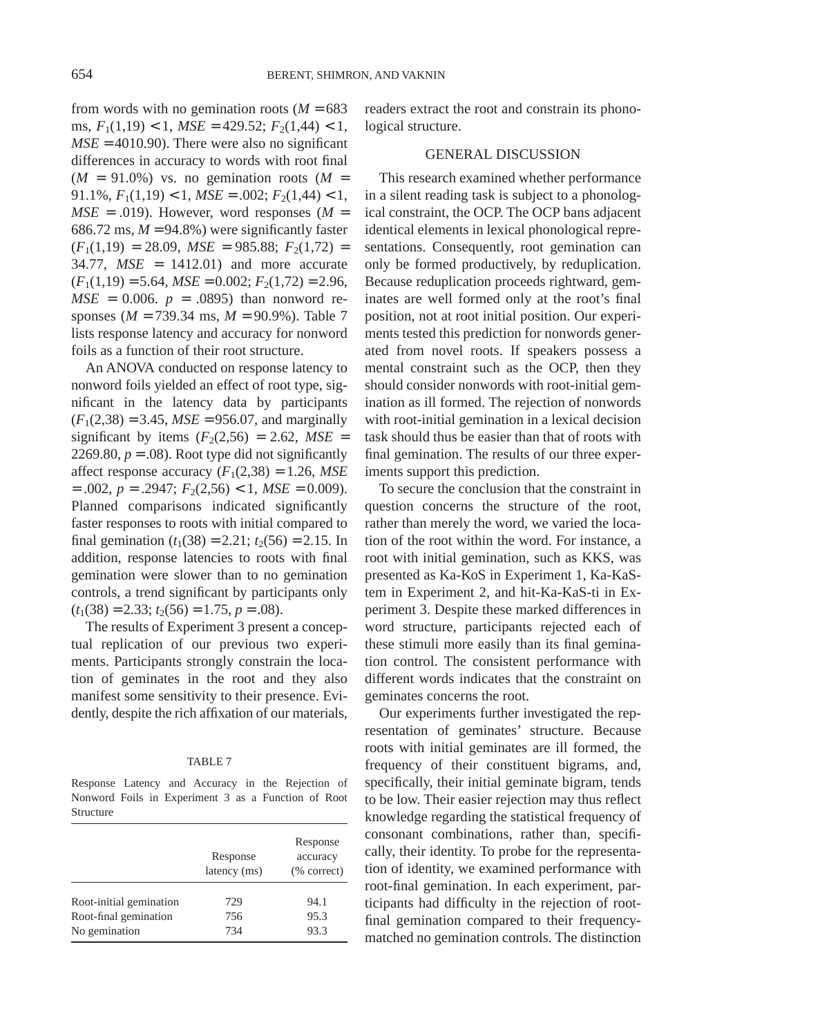from words with no gemination roots  $(M = 683)$ ms,  $F_1(1,19) < 1$ ,  $MSE = 429.52$ ;  $F_2(1,44) < 1$ ,  $MSE = 4010.90$ . There were also no significant differences in accuracy to words with root final  $(M = 91.0\%)$  vs. no gemination roots  $(M =$  $91.1\%, F_1(1,19) < 1, MSE = .002; F_2(1,44) < 1,$  $MSE = .019$ ). However, word responses ( $M =$ 686.72 ms,  $M = 94.8\%$ ) were significantly faster  $(F_1(1,19) = 28.09, MSE = 985.88; F_2(1,72) =$ 34.77, *MSE* = 1412.01) and more accurate  $(F_1(1,19) = 5.64$ ,  $MSE = 0.002$ ;  $F_2(1,72) = 2.96$ , *MSE* = 0.006.  $p = .0895$  than nonword responses (*M* = 739.34 ms, *M* = 90.9%). Table 7 lists response latency and accuracy for nonword foils as a function of their root structure.

An ANOVA conducted on response latency to nonword foils yielded an effect of root type, significant in the latency data by participants  $(F_1(2,38) = 3.45, MSE = 956.07, and marginally$ significant by items  $(F_2(2,56) = 2.62, MSE =$ 2269.80,  $p = .08$ ). Root type did not significantly affect response accuracy  $(F_1(2,38) = 1.26$ , *MSE*  $= .002, p = .2947; F<sub>2</sub>(2.56) < 1, MSE = 0.009$ . Planned comparisons indicated significantly faster responses to roots with initial compared to final gemination  $(t_1(38) = 2.21$ ;  $t_2(56) = 2.15$ . In addition, response latencies to roots with final gemination were slower than to no gemination controls, a trend significant by participants only  $(t<sub>1</sub>(38) = 2.33; t<sub>2</sub>(56) = 1.75, p = .08).$ 

The results of Experiment 3 present a conceptual replication of our previous two experiments. Participants strongly constrain the location of geminates in the root and they also manifest some sensitivity to their presence. Evidently, despite the rich affixation of our materials,

#### TABLE 7

Response Latency and Accuracy in the Rejection of Nonword Foils in Experiment 3 as a Function of Root Structure

|                         | Response<br>latency (ms) | Response<br>accuracy<br>(% correct) |
|-------------------------|--------------------------|-------------------------------------|
| Root-initial gemination | 729                      | 94.1                                |
| Root-final gemination   | 756                      | 95.3                                |
| No gemination           | 734                      | 93.3                                |

readers extract the root and constrain its phonological structure.

### GENERAL DISCUSSION

This research examined whether performance in a silent reading task is subject to a phonological constraint, the OCP. The OCP bans adjacent identical elements in lexical phonological representations. Consequently, root gemination can only be formed productively, by reduplication. Because reduplication proceeds rightward, geminates are well formed only at the root's final position, not at root initial position. Our experiments tested this prediction for nonwords generated from novel roots. If speakers possess a mental constraint such as the OCP, then they should consider nonwords with root-initial gemination as ill formed. The rejection of nonwords with root-initial gemination in a lexical decision task should thus be easier than that of roots with final gemination. The results of our three experiments support this prediction.

To secure the conclusion that the constraint in question concerns the structure of the root, rather than merely the word, we varied the location of the root within the word. For instance, a root with initial gemination, such as KKS, was presented as Ka-KoS in Experiment 1, Ka-KaStem in Experiment 2, and hit-Ka-KaS-ti in Experiment 3. Despite these marked differences in word structure, participants rejected each of these stimuli more easily than its final gemination control. The consistent performance with different words indicates that the constraint on geminates concerns the root.

Our experiments further investigated the representation of geminates' structure. Because roots with initial geminates are ill formed, the frequency of their constituent bigrams, and, specifically, their initial geminate bigram, tends to be low. Their easier rejection may thus reflect knowledge regarding the statistical frequency of consonant combinations, rather than, specifically, their identity. To probe for the representation of identity, we examined performance with root-final gemination. In each experiment, participants had difficulty in the rejection of rootfinal gemination compared to their frequencymatched no gemination controls. The distinction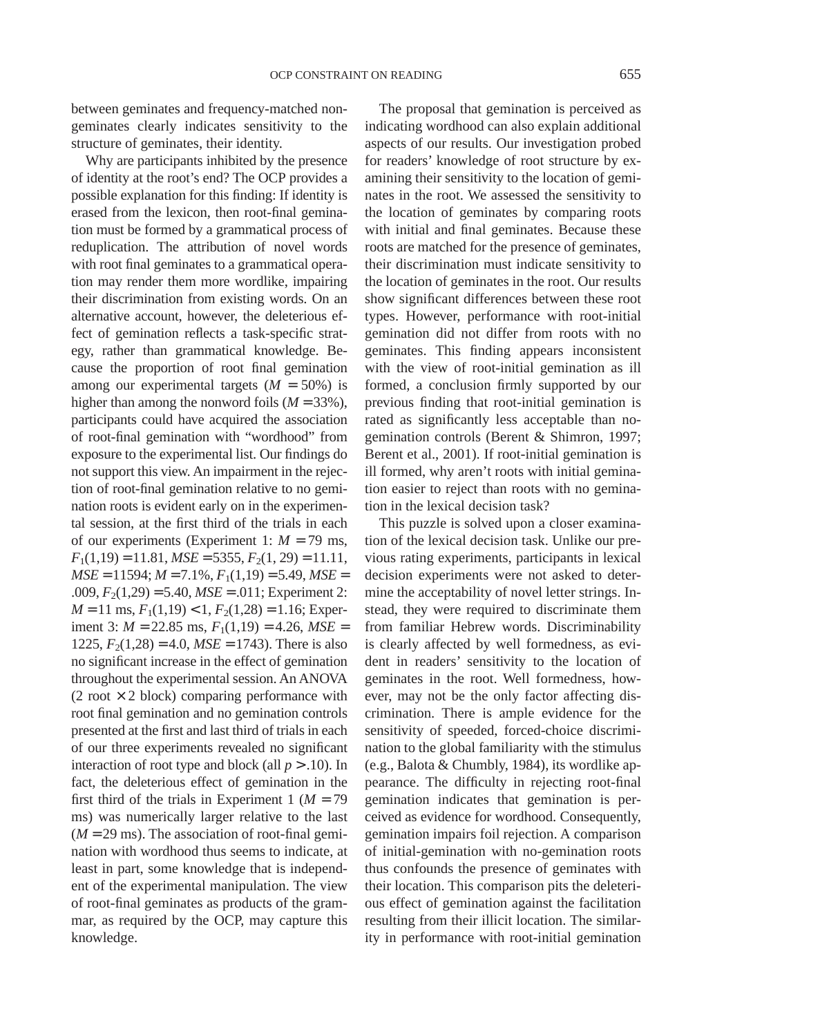between geminates and frequency-matched nongeminates clearly indicates sensitivity to the structure of geminates, their identity.

Why are participants inhibited by the presence of identity at the root's end? The OCP provides a possible explanation for this finding: If identity is erased from the lexicon, then root-final gemination must be formed by a grammatical process of reduplication. The attribution of novel words with root final geminates to a grammatical operation may render them more wordlike, impairing their discrimination from existing words. On an alternative account, however, the deleterious effect of gemination reflects a task-specific strategy, rather than grammatical knowledge. Because the proportion of root final gemination among our experimental targets  $(M = 50\%)$  is higher than among the nonword foils  $(M = 33\%)$ , participants could have acquired the association of root-final gemination with "wordhood" from exposure to the experimental list. Our findings do not support this view. An impairment in the rejection of root-final gemination relative to no gemination roots is evident early on in the experimental session, at the first third of the trials in each of our experiments (Experiment 1:  $M = 79$  ms,  $F_1(1,19) = 11.81$ ,  $MSE = 5355$ ,  $F_2(1, 29) = 11.11$ ,  $MSE = 11594$ ;  $M = 7.1\%$ ,  $F_1(1,19) = 5.49$ ,  $MSE =$  $.009, F<sub>2</sub>(1,29) = 5.40, MSE = .011$ ; Experiment 2:  $M = 11$  ms,  $F_1(1,19) < 1$ ,  $F_2(1,28) = 1.16$ ; Experiment 3:  $M = 22.85$  ms,  $F_1(1,19) = 4.26$ ,  $MSE =$ 1225,  $F_2(1,28) = 4.0$ ,  $MSE = 1743$ ). There is also no significant increase in the effect of gemination throughout the experimental session. An ANOVA  $(2 \text{ root} \times 2 \text{ block})$  comparing performance with root final gemination and no gemination controls presented at the first and last third of trials in each of our three experiments revealed no significant interaction of root type and block (all  $p > .10$ ). In fact, the deleterious effect of gemination in the first third of the trials in Experiment 1 ( $M = 79$ ) ms) was numerically larger relative to the last  $(M = 29 \text{ ms})$ . The association of root-final gemination with wordhood thus seems to indicate, at least in part, some knowledge that is independent of the experimental manipulation. The view of root-final geminates as products of the grammar, as required by the OCP, may capture this knowledge.

The proposal that gemination is perceived as indicating wordhood can also explain additional aspects of our results. Our investigation probed for readers' knowledge of root structure by examining their sensitivity to the location of geminates in the root. We assessed the sensitivity to the location of geminates by comparing roots with initial and final geminates. Because these roots are matched for the presence of geminates, their discrimination must indicate sensitivity to the location of geminates in the root. Our results show significant differences between these root types. However, performance with root-initial gemination did not differ from roots with no geminates. This finding appears inconsistent with the view of root-initial gemination as ill formed, a conclusion firmly supported by our previous finding that root-initial gemination is rated as significantly less acceptable than nogemination controls (Berent & Shimron, 1997; Berent et al., 2001). If root-initial gemination is ill formed, why aren't roots with initial gemination easier to reject than roots with no gemination in the lexical decision task?

This puzzle is solved upon a closer examination of the lexical decision task. Unlike our previous rating experiments, participants in lexical decision experiments were not asked to determine the acceptability of novel letter strings. Instead, they were required to discriminate them from familiar Hebrew words. Discriminability is clearly affected by well formedness, as evident in readers' sensitivity to the location of geminates in the root. Well formedness, however, may not be the only factor affecting discrimination. There is ample evidence for the sensitivity of speeded, forced-choice discrimination to the global familiarity with the stimulus (e.g., Balota & Chumbly, 1984), its wordlike appearance. The difficulty in rejecting root-final gemination indicates that gemination is perceived as evidence for wordhood. Consequently, gemination impairs foil rejection. A comparison of initial-gemination with no-gemination roots thus confounds the presence of geminates with their location. This comparison pits the deleterious effect of gemination against the facilitation resulting from their illicit location. The similarity in performance with root-initial gemination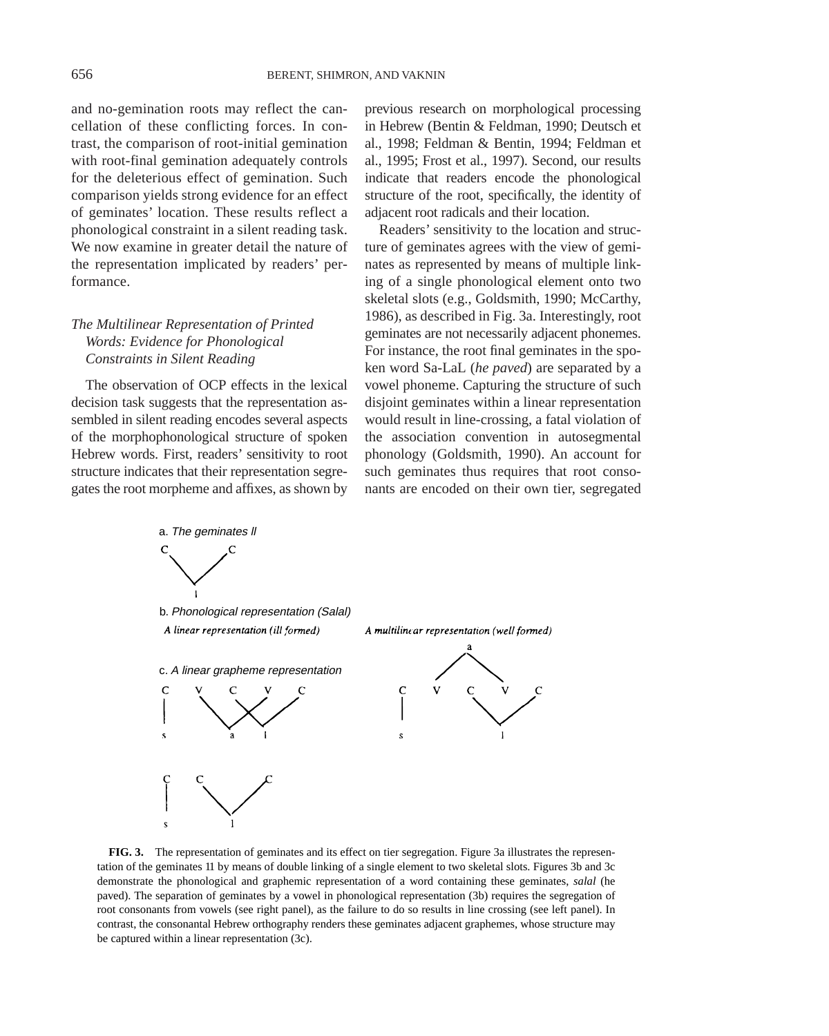and no-gemination roots may reflect the cancellation of these conflicting forces. In contrast, the comparison of root-initial gemination with root-final gemination adequately controls for the deleterious effect of gemination. Such comparison yields strong evidence for an effect of geminates' location. These results reflect a phonological constraint in a silent reading task. We now examine in greater detail the nature of the representation implicated by readers' performance.

# *The Multilinear Representation of Printed Words: Evidence for Phonological Constraints in Silent Reading*

The observation of OCP effects in the lexical decision task suggests that the representation assembled in silent reading encodes several aspects of the morphophonological structure of spoken Hebrew words. First, readers' sensitivity to root structure indicates that their representation segregates the root morpheme and affixes, as shown by previous research on morphological processing in Hebrew (Bentin & Feldman, 1990; Deutsch et al., 1998; Feldman & Bentin, 1994; Feldman et al., 1995; Frost et al., 1997). Second, our results indicate that readers encode the phonological structure of the root, specifically, the identity of adjacent root radicals and their location.

Readers' sensitivity to the location and structure of geminates agrees with the view of geminates as represented by means of multiple linking of a single phonological element onto two skeletal slots (e.g., Goldsmith, 1990; McCarthy, 1986), as described in Fig. 3a. Interestingly, root geminates are not necessarily adjacent phonemes. For instance, the root final geminates in the spoken word Sa-LaL (*he paved*) are separated by a vowel phoneme. Capturing the structure of such disjoint geminates within a linear representation would result in line-crossing, a fatal violation of the association convention in autosegmental phonology (Goldsmith, 1990). An account for such geminates thus requires that root consonants are encoded on their own tier, segregated



**FIG. 3.** The representation of geminates and its effect on tier segregation. Figure 3a illustrates the representation of the geminates 11 by means of double linking of a single element to two skeletal slots. Figures 3b and 3c demonstrate the phonological and graphemic representation of a word containing these geminates, *salal* (he paved). The separation of geminates by a vowel in phonological representation (3b) requires the segregation of root consonants from vowels (see right panel), as the failure to do so results in line crossing (see left panel). In contrast, the consonantal Hebrew orthography renders these geminates adjacent graphemes, whose structure may be captured within a linear representation (3c).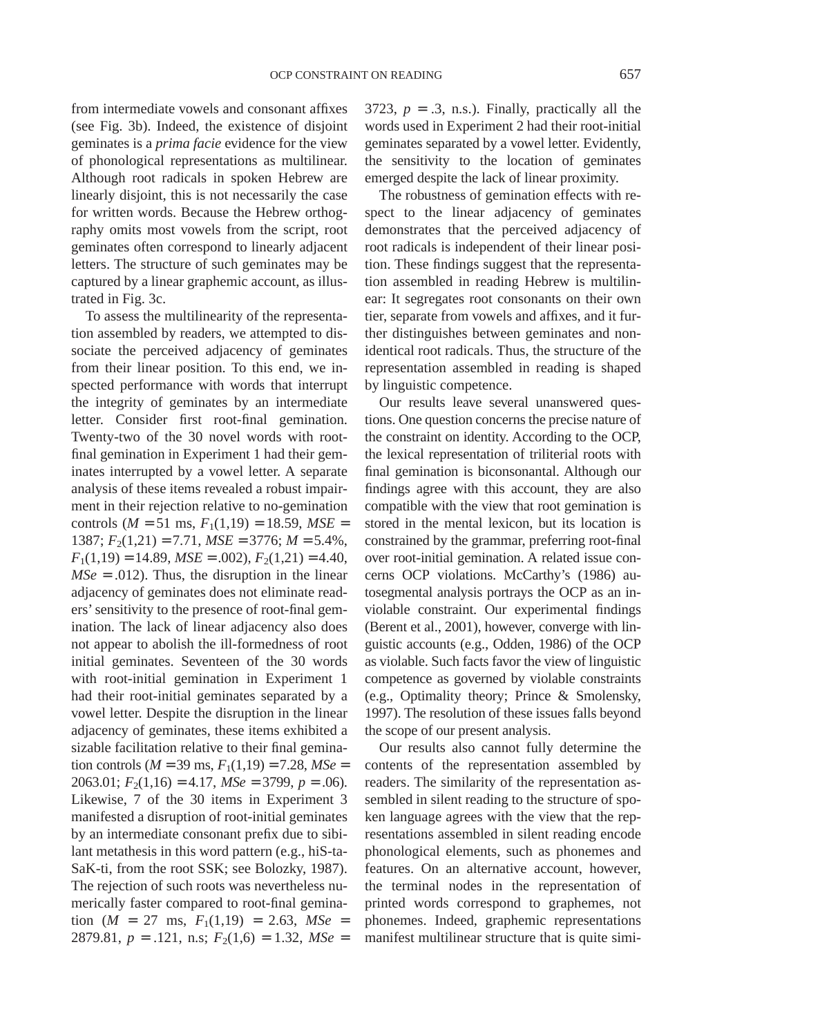from intermediate vowels and consonant affixes (see Fig. 3b). Indeed, the existence of disjoint geminates is a *prima facie* evidence for the view of phonological representations as multilinear. Although root radicals in spoken Hebrew are linearly disjoint, this is not necessarily the case for written words. Because the Hebrew orthography omits most vowels from the script, root geminates often correspond to linearly adjacent letters. The structure of such geminates may be captured by a linear graphemic account, as illustrated in Fig. 3c.

To assess the multilinearity of the representation assembled by readers, we attempted to dissociate the perceived adjacency of geminates from their linear position. To this end, we inspected performance with words that interrupt the integrity of geminates by an intermediate letter. Consider first root-final gemination. Twenty-two of the 30 novel words with rootfinal gemination in Experiment 1 had their geminates interrupted by a vowel letter. A separate analysis of these items revealed a robust impairment in their rejection relative to no-gemination controls ( $M = 51$  ms,  $F_1(1,19) = 18.59$ ,  $MSE =$ 1387;  $F_2(1,21) = 7.71$ ,  $MSE = 3776$ ;  $M = 5.4\%$ ,  $F_1(1,19) = 14.89$ ,  $MSE = .002$ ),  $F_2(1,21) = 4.40$ ,  $MSe = .012$ ). Thus, the disruption in the linear adjacency of geminates does not eliminate readers' sensitivity to the presence of root-final gemination. The lack of linear adjacency also does not appear to abolish the ill-formedness of root initial geminates. Seventeen of the 30 words with root-initial gemination in Experiment 1 had their root-initial geminates separated by a vowel letter. Despite the disruption in the linear adjacency of geminates, these items exhibited a sizable facilitation relative to their final gemination controls ( $M = 39$  ms,  $F_1(1,19) = 7.28$ ,  $MSe =$  $2063.01$ ;  $F_2(1,16) = 4.17$ ,  $MSe = 3799$ ,  $p = .06$ ). Likewise, 7 of the 30 items in Experiment 3 manifested a disruption of root-initial geminates by an intermediate consonant prefix due to sibilant metathesis in this word pattern (e.g., hiS-ta-SaK-ti, from the root SSK; see Bolozky, 1987). The rejection of such roots was nevertheless numerically faster compared to root-final gemination ( $M = 27$  ms,  $F_1(1,19) = 2.63$ ,  $MSe =$ 2879.81,  $p = .121$ , n.s;  $F_2(1,6) = 1.32$ ,  $MSe =$  3723,  $p = .3$ , n.s.). Finally, practically all the words used in Experiment 2 had their root-initial geminates separated by a vowel letter. Evidently, the sensitivity to the location of geminates emerged despite the lack of linear proximity.

The robustness of gemination effects with respect to the linear adjacency of geminates demonstrates that the perceived adjacency of root radicals is independent of their linear position. These findings suggest that the representation assembled in reading Hebrew is multilinear: It segregates root consonants on their own tier, separate from vowels and affixes, and it further distinguishes between geminates and nonidentical root radicals. Thus, the structure of the representation assembled in reading is shaped by linguistic competence.

Our results leave several unanswered questions. One question concerns the precise nature of the constraint on identity. According to the OCP, the lexical representation of triliterial roots with final gemination is biconsonantal. Although our findings agree with this account, they are also compatible with the view that root gemination is stored in the mental lexicon, but its location is constrained by the grammar, preferring root-final over root-initial gemination. A related issue concerns OCP violations. McCarthy's (1986) autosegmental analysis portrays the OCP as an inviolable constraint. Our experimental findings (Berent et al., 2001), however, converge with linguistic accounts (e.g., Odden, 1986) of the OCP as violable. Such facts favor the view of linguistic competence as governed by violable constraints (e.g., Optimality theory; Prince & Smolensky, 1997). The resolution of these issues falls beyond the scope of our present analysis.

Our results also cannot fully determine the contents of the representation assembled by readers. The similarity of the representation assembled in silent reading to the structure of spoken language agrees with the view that the representations assembled in silent reading encode phonological elements, such as phonemes and features. On an alternative account, however, the terminal nodes in the representation of printed words correspond to graphemes, not phonemes. Indeed, graphemic representations manifest multilinear structure that is quite simi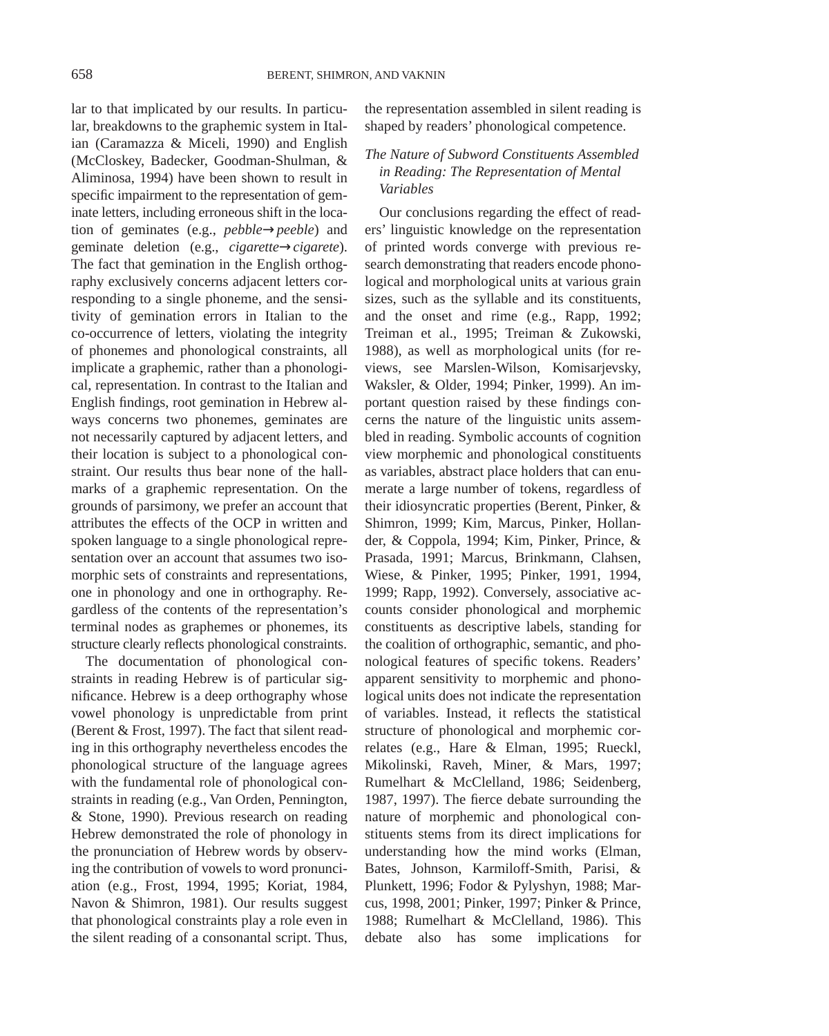lar to that implicated by our results. In particular, breakdowns to the graphemic system in Italian (Caramazza & Miceli, 1990) and English (McCloskey, Badecker, Goodman-Shulman, & Aliminosa, 1994) have been shown to result in specific impairment to the representation of geminate letters, including erroneous shift in the location of geminates (e.g., *pebble*→*peeble*) and geminate deletion (e.g., *cigarette*→*cigarete*). The fact that gemination in the English orthography exclusively concerns adjacent letters corresponding to a single phoneme, and the sensitivity of gemination errors in Italian to the co-occurrence of letters, violating the integrity of phonemes and phonological constraints, all implicate a graphemic, rather than a phonological, representation. In contrast to the Italian and English findings, root gemination in Hebrew always concerns two phonemes, geminates are not necessarily captured by adjacent letters, and their location is subject to a phonological constraint. Our results thus bear none of the hallmarks of a graphemic representation. On the grounds of parsimony, we prefer an account that attributes the effects of the OCP in written and spoken language to a single phonological representation over an account that assumes two isomorphic sets of constraints and representations, one in phonology and one in orthography. Regardless of the contents of the representation's terminal nodes as graphemes or phonemes, its structure clearly reflects phonological constraints.

The documentation of phonological constraints in reading Hebrew is of particular significance. Hebrew is a deep orthography whose vowel phonology is unpredictable from print (Berent & Frost, 1997). The fact that silent reading in this orthography nevertheless encodes the phonological structure of the language agrees with the fundamental role of phonological constraints in reading (e.g., Van Orden, Pennington, & Stone, 1990). Previous research on reading Hebrew demonstrated the role of phonology in the pronunciation of Hebrew words by observing the contribution of vowels to word pronunciation (e.g., Frost, 1994, 1995; Koriat, 1984, Navon & Shimron, 1981). Our results suggest that phonological constraints play a role even in the silent reading of a consonantal script. Thus, the representation assembled in silent reading is shaped by readers' phonological competence.

# *The Nature of Subword Constituents Assembled in Reading: The Representation of Mental Variables*

Our conclusions regarding the effect of readers' linguistic knowledge on the representation of printed words converge with previous research demonstrating that readers encode phonological and morphological units at various grain sizes, such as the syllable and its constituents, and the onset and rime (e.g., Rapp, 1992; Treiman et al., 1995; Treiman & Zukowski, 1988), as well as morphological units (for reviews, see Marslen-Wilson, Komisarjevsky, Waksler, & Older, 1994; Pinker, 1999). An important question raised by these findings concerns the nature of the linguistic units assembled in reading. Symbolic accounts of cognition view morphemic and phonological constituents as variables, abstract place holders that can enumerate a large number of tokens, regardless of their idiosyncratic properties (Berent, Pinker, & Shimron, 1999; Kim, Marcus, Pinker, Hollander, & Coppola, 1994; Kim, Pinker, Prince, & Prasada, 1991; Marcus, Brinkmann, Clahsen, Wiese, & Pinker, 1995; Pinker, 1991, 1994, 1999; Rapp, 1992). Conversely, associative accounts consider phonological and morphemic constituents as descriptive labels, standing for the coalition of orthographic, semantic, and phonological features of specific tokens. Readers' apparent sensitivity to morphemic and phonological units does not indicate the representation of variables. Instead, it reflects the statistical structure of phonological and morphemic correlates (e.g., Hare & Elman, 1995; Rueckl, Mikolinski, Raveh, Miner, & Mars, 1997; Rumelhart & McClelland, 1986; Seidenberg, 1987, 1997). The fierce debate surrounding the nature of morphemic and phonological constituents stems from its direct implications for understanding how the mind works (Elman, Bates, Johnson, Karmiloff-Smith, Parisi, & Plunkett, 1996; Fodor & Pylyshyn, 1988; Marcus, 1998, 2001; Pinker, 1997; Pinker & Prince, 1988; Rumelhart & McClelland, 1986). This debate also has some implications for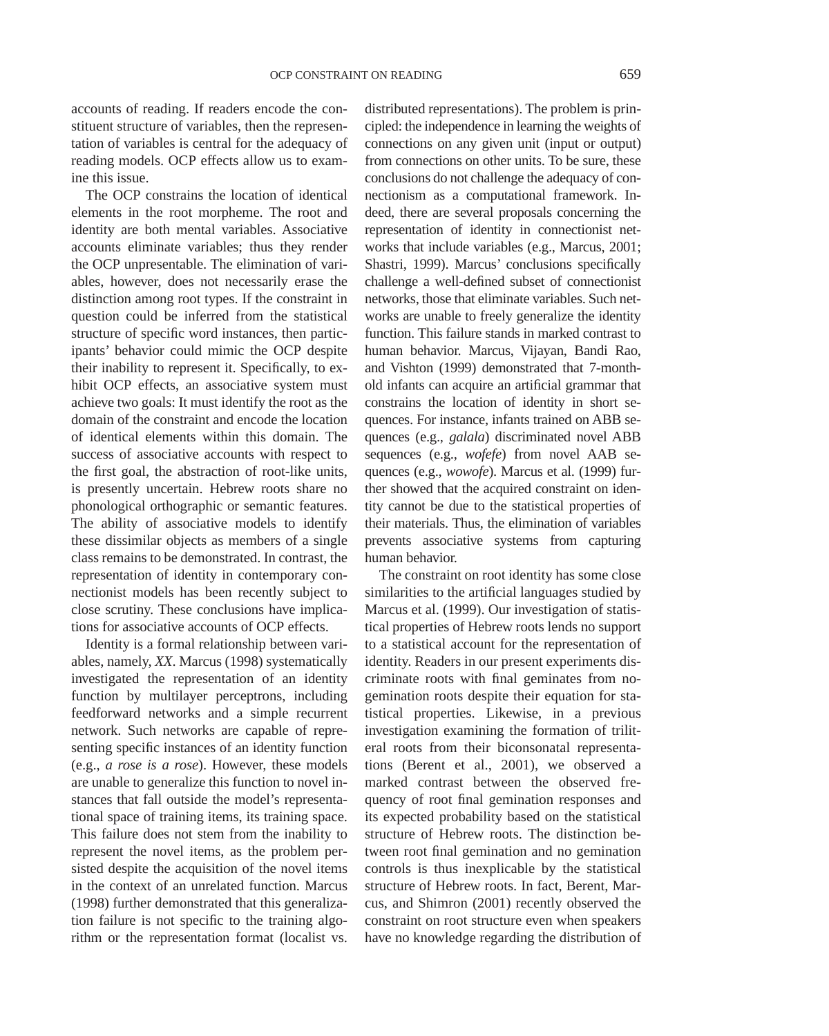accounts of reading. If readers encode the constituent structure of variables, then the representation of variables is central for the adequacy of reading models. OCP effects allow us to examine this issue.

The OCP constrains the location of identical elements in the root morpheme. The root and identity are both mental variables. Associative accounts eliminate variables; thus they render the OCP unpresentable. The elimination of variables, however, does not necessarily erase the distinction among root types. If the constraint in question could be inferred from the statistical structure of specific word instances, then participants' behavior could mimic the OCP despite their inability to represent it. Specifically, to exhibit OCP effects, an associative system must achieve two goals: It must identify the root as the domain of the constraint and encode the location of identical elements within this domain. The success of associative accounts with respect to the first goal, the abstraction of root-like units, is presently uncertain. Hebrew roots share no phonological orthographic or semantic features. The ability of associative models to identify these dissimilar objects as members of a single class remains to be demonstrated. In contrast, the representation of identity in contemporary connectionist models has been recently subject to close scrutiny. These conclusions have implications for associative accounts of OCP effects.

Identity is a formal relationship between variables, namely, *XX*. Marcus (1998) systematically investigated the representation of an identity function by multilayer perceptrons, including feedforward networks and a simple recurrent network. Such networks are capable of representing specific instances of an identity function (e.g., *a rose is a rose*). However, these models are unable to generalize this function to novel instances that fall outside the model's representational space of training items, its training space. This failure does not stem from the inability to represent the novel items, as the problem persisted despite the acquisition of the novel items in the context of an unrelated function. Marcus (1998) further demonstrated that this generalization failure is not specific to the training algorithm or the representation format (localist vs. distributed representations). The problem is principled: the independence in learning the weights of connections on any given unit (input or output) from connections on other units. To be sure, these conclusions do not challenge the adequacy of connectionism as a computational framework. Indeed, there are several proposals concerning the representation of identity in connectionist networks that include variables (e.g., Marcus, 2001; Shastri, 1999). Marcus' conclusions specifically challenge a well-defined subset of connectionist networks, those that eliminate variables. Such networks are unable to freely generalize the identity function. This failure stands in marked contrast to human behavior. Marcus, Vijayan, Bandi Rao, and Vishton (1999) demonstrated that 7-monthold infants can acquire an artificial grammar that constrains the location of identity in short sequences. For instance, infants trained on ABB sequences (e.g., *galala*) discriminated novel ABB sequences (e.g., *wofefe*) from novel AAB sequences (e.g., *wowofe*). Marcus et al. (1999) further showed that the acquired constraint on identity cannot be due to the statistical properties of their materials. Thus, the elimination of variables prevents associative systems from capturing human behavior.

The constraint on root identity has some close similarities to the artificial languages studied by Marcus et al. (1999). Our investigation of statistical properties of Hebrew roots lends no support to a statistical account for the representation of identity. Readers in our present experiments discriminate roots with final geminates from nogemination roots despite their equation for statistical properties. Likewise, in a previous investigation examining the formation of triliteral roots from their biconsonatal representations (Berent et al., 2001), we observed a marked contrast between the observed frequency of root final gemination responses and its expected probability based on the statistical structure of Hebrew roots. The distinction between root final gemination and no gemination controls is thus inexplicable by the statistical structure of Hebrew roots. In fact, Berent, Marcus, and Shimron (2001) recently observed the constraint on root structure even when speakers have no knowledge regarding the distribution of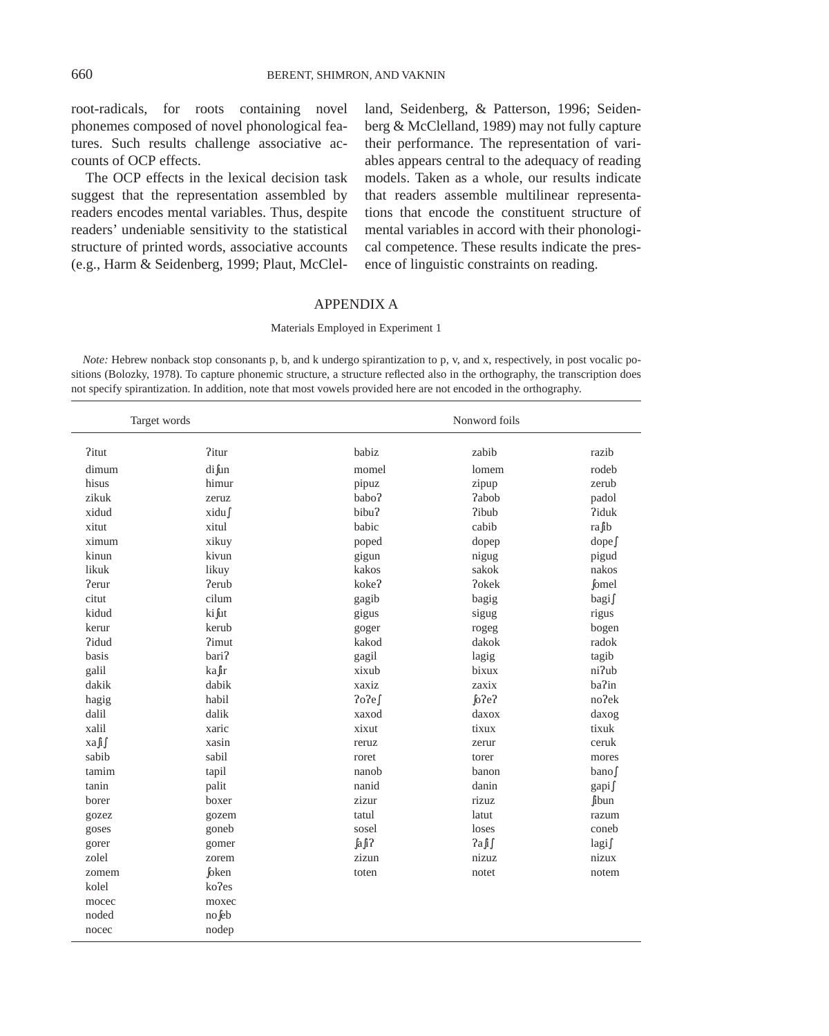root-radicals, for roots containing novel phonemes composed of novel phonological features. Such results challenge associative accounts of OCP effects.

The OCP effects in the lexical decision task suggest that the representation assembled by readers encodes mental variables. Thus, despite readers' undeniable sensitivity to the statistical structure of printed words, associative accounts (e.g., Harm & Seidenberg, 1999; Plaut, McClelland, Seidenberg, & Patterson, 1996; Seidenberg & McClelland, 1989) may not fully capture their performance. The representation of variables appears central to the adequacy of reading models. Taken as a whole, our results indicate that readers assemble multilinear representations that encode the constituent structure of mental variables in accord with their phonological competence. These results indicate the presence of linguistic constraints on reading.

### APPENDIX A

#### Materials Employed in Experiment 1

*Note:* Hebrew nonback stop consonants p, b, and k undergo spirantization to p, v, and x, respectively, in post vocalic positions (Bolozky, 1978). To capture phonemic structure, a structure reflected also in the orthography, the transcription does not specify spirantization. In addition, note that most vowels provided here are not encoded in the orthography.

| Target words |         | Nonword foils |              |                   |  |
|--------------|---------|---------------|--------------|-------------------|--|
| <b>?itut</b> | ?itur   | babiz.        | zabib        | razib             |  |
| dimum        | dilun   | momel         | lomem        | rodeb             |  |
| hisus        | himur   | pipuz         | zipup        | zerub             |  |
| zikuk        | zeruz   | babo?         | <b>?abob</b> | padol             |  |
| xidud        | xidu    | bibu?         | <b>?ibub</b> | <b>?iduk</b>      |  |
| xitut        | xitul   | babic         | cabib        | ra∫ib             |  |
| ximum        | xikuy   | poped         | dopep        | dope∫             |  |
| kinun        | kivun   | gigun         | nigug        | pigud             |  |
| likuk        | likuy   | kakos         | sakok        | nakos             |  |
| Perur        | Perub   | koke?         | ?okek        | <sub>l</sub> omel |  |
| citut        | cilum   | gagib         | bagig        | bagi.             |  |
| kidud        | ki∫ut   | gigus         | sigug        | rigus             |  |
| kerur        | kerub   | goger         | rogeg        | bogen             |  |
| <b>?idud</b> | ?imut   | kakod         | dakok        | radok             |  |
| basis        | bari?   | gagil         | lagig        | tagib             |  |
| galil        | ka∫ir   | xixub         | bixux        | ni?ub             |  |
| dakik        | dabik   | xaxiz         | zaxix        | ba?in             |  |
| hagig        | habil   | 202e          | $ o$ ?e?     | no?ek             |  |
| dalil        | dalik   | xaxod         | daxox        | daxog             |  |
| xalil        | xaric   | xixut         | tixux        | tixuk             |  |
| xa∫i∫        | xasin   | reruz         | zerur        | ceruk             |  |
| sabib        | sabil   | roret         | torer        | mores             |  |
| tamim        | tapil   | nanob         | banon        | bano.             |  |
| tanin        | palit   | nanid         | danin        | gapi              |  |
| borer        | boxer   | zizur         | rizuz        | libun             |  |
| gozez        | gozem   | tatul         | latut        | razum             |  |
| goses        | goneb   | sosel         | loses        | coneb             |  |
| gorer        | gomer   | ∫a∫i?         | $2a$ fi      | lagi              |  |
| zolel        | zorem   | zizun         | nizuz        | nizux             |  |
| zomem        | Joken   | toten         | notet        | notem             |  |
| kolel        | ko?es   |               |              |                   |  |
| mocec        | moxec   |               |              |                   |  |
| noded        | $no$ eb |               |              |                   |  |
| nocec        | nodep   |               |              |                   |  |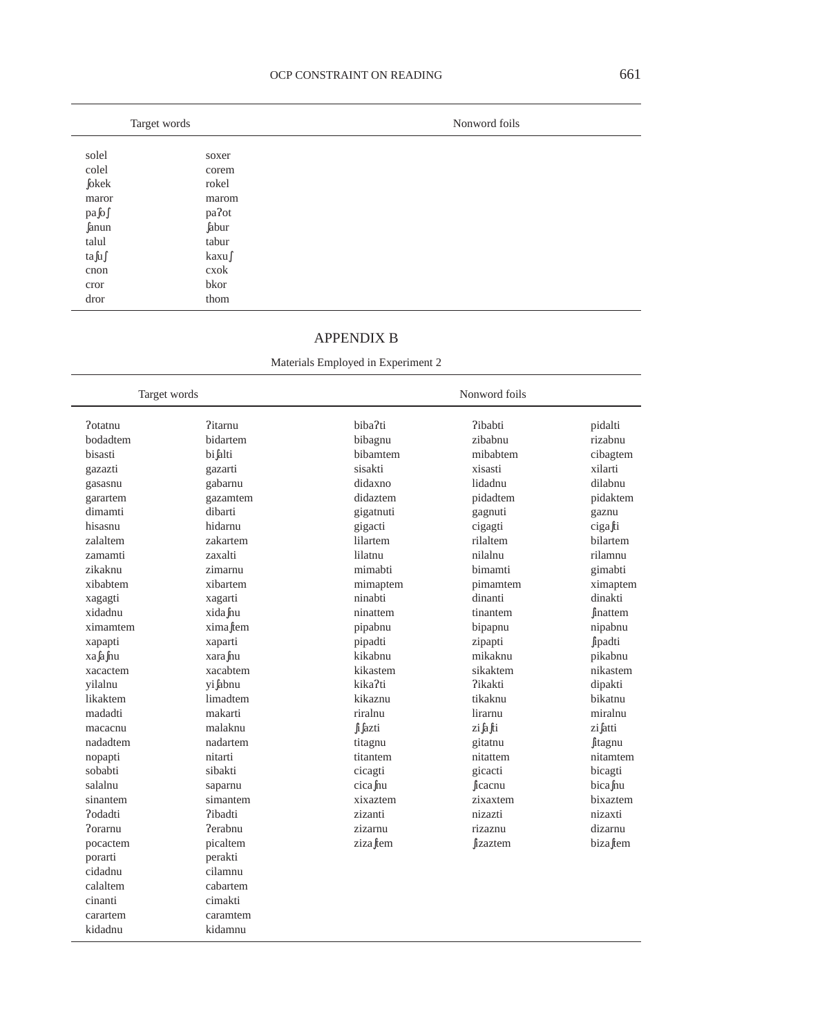|       | Target words | Nonword foils |
|-------|--------------|---------------|
| solel | soxer        |               |
| colel | corem        |               |
| Jokek | rokel        |               |
| maror | marom        |               |
| pasos | pa?ot        |               |
| Janun | Jabur        |               |
| talul | tabur        |               |
| ta∫u∫ | kaxu∫        |               |
| cnon  | cxok         |               |
| cror  | bkor         |               |
| dror  | thom         |               |

# APPENDIX B

Materials Employed in Experiment 2

| Target words    |                | Nonword foils   |                 |          |
|-----------------|----------------|-----------------|-----------------|----------|
| <b>?</b> otatnu | <b>Pitarnu</b> | biba?ti         | ?ibabti         | pidalti  |
| bodadtem        | bidartem       | bibagnu         | zibabnu         | rizabnu  |
| bisasti         | bilalti        | <b>bibamtem</b> | mibabtem        | cibagtem |
| gazazti         | gazarti        | sisakti         | xisasti         | xilarti  |
| gasasnu         | gabarnu        | didaxno         | lidadnu         | dilabnu  |
| garartem        | gazamtem       | didaztem        | pidadtem        | pidaktem |
| dimamti         | dibarti        | gigatnuti       | gagnuti         | gaznu    |
| hisasnu         | hidarnu        | gigacti         | cigagti         | ciga∫ti  |
| zalaltem        | zakartem       | lilartem        | rilaltem        | bilartem |
| zamamti         | zaxalti        | lilatnu         | nilalnu         | rilamnu  |
| zikaknu         | zimarnu        | mimabti         | bimamti         | gimabti  |
| xibabtem        | xibartem       | mimaptem        | pimamtem        | ximaptem |
| xagagti         | xagarti        | ninabti         | dinanti         | dinakti  |
| xidadnu         | xidalnu        | ninattem        | tinantem        | linattem |
| ximamtem        | ximaltem       | pipabnu         | bipapnu         | nipabnu  |
| xapapti         | xaparti        | pipadti         | zipapti         | lipadti  |
| xalalnu         | xaralnu        | kikabnu         | mikaknu         | pikabnu  |
| xacactem        | xacabtem       | kikastem        | sikaktem        | nikastem |
| vilalnu         | vi∫abnu        | kika?ti         | ?ikakti         | dipakti  |
| likaktem        | limadtem       | kikaznu         | tikaknu         | bikatnu  |
| madadti         | makarti        | riralnu         | lirarnu         | miralnu  |
| macacnu         | malaknu        | jifazti         | zilalti         | zilatti  |
| nadadtem        | nadartem       | titagnu         | gitatnu         | litagnu  |
| nopapti         | nitarti        | titantem        | nitattem        | nitamtem |
| sobabti         | sibakti        | cicagti         | gicacti         | bicagti  |
| salalnu         | saparnu        | cicalnu         | <i>s</i> icacnu | bicalnu  |
| sinantem        | simantem       | xixaztem        | zixaxtem        | bixaztem |
| ?odadti         | <b>?ibadti</b> | zizanti         | nizazti         | nizaxti  |
| <b>?orarnu</b>  | <b>Perabnu</b> | zizarnu         | rizaznu         | dizarnu  |
| pocactem        | picaltem       | zizaltem        | lizaztem        | bizaltem |
| porarti         | perakti        |                 |                 |          |
| cidadnu         | cilamnu        |                 |                 |          |
| calaltem        | cabartem       |                 |                 |          |
| cinanti         | cimakti        |                 |                 |          |
| carartem        | caramtem       |                 |                 |          |
| kidadnu         | kidamnu        |                 |                 |          |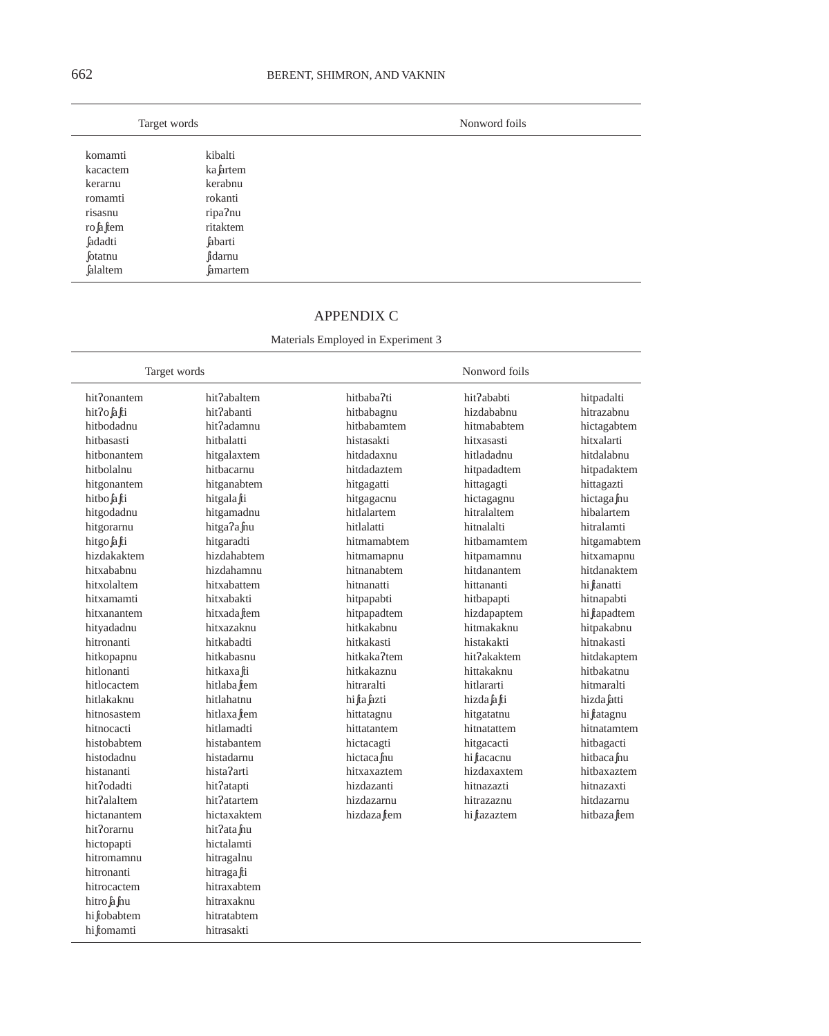|                                       | Target words                   | Nonword foils |  |
|---------------------------------------|--------------------------------|---------------|--|
| komamti<br>kacactem                   | kibalti<br>kasartem            |               |  |
| kerarnu<br>romamti                    | kerabnu<br>rokanti             |               |  |
| risasnu<br>rolaltem                   | ripa?nu<br>ritaktem            |               |  |
| <b>fadadti</b><br>Jotatnu<br>lalaltem | Jabarti<br>lidarnu<br>Jamartem |               |  |

# APPENDIX C

Materials Employed in Experiment 3

| Target words |             |             | Nonword foils |             |  |
|--------------|-------------|-------------|---------------|-------------|--|
| hit?onantem  | hit?abaltem | hitbaba?ti  | hit?ababti    | hitpadalti  |  |
| hit?olalti   | hit?abanti  | hitbabagnu  | hizdababnu    | hitrazabnu  |  |
| hitbodadnu   | hit?adamnu  | hithabamtem | hitmababtem   | hictagabtem |  |
| hitbasasti   | hitbalatti  | histasakti  | hitxasasti    | hitxalarti  |  |
| hitbonantem  | hitgalaxtem | hitdadaxnu  | hitladadnu    | hitdalahnu  |  |
| hitbolalnu   | hitbacarnu  | hitdadaztem | hitpadadtem   | hitpadaktem |  |
| hitgonantem  | hitganabtem | hitgagatti  | hittagagti    | hittagazti  |  |
| hitbolalti   | hitgalasti  | hitgagacnu  | hictagagnu    | hictaga∫nu  |  |
| hitgodadnu   | hitgamadnu  | hitlalartem | hitralaltem   | hibalartem  |  |
| hitgorarnu   | hitga?aJnu  | hitlalatti  | hitnalalti    | hitralamti  |  |
| hitgolalti   | hitgaradti  | hitmamabtem | hithamamtem   | hitgamabtem |  |
| hizdakaktem  | hizdahabtem | hitmamapnu  | hitpamamnu    | hitxamapnu  |  |
| hitxababnu   | hizdahamnu  | hitnanabtem | hitdanantem   | hitdanaktem |  |
| hitxolaltem  | hitxabattem | hitnanatti  | hittananti    | hiftanatti  |  |
| hitxamamti   | hitxabakti  | hitpapabti  | hitbapapti    | hitnapabti  |  |
| hitxanantem  | hitxadaltem | hitpapadtem | hizdapaptem   | hiftapadtem |  |
| hityadadnu   | hitxazaknu  | hitkakabnu  | hitmakaknu    | hitpakabnu  |  |
| hitronanti   | hitkabadti  | hitkakasti  | histakakti    | hitnakasti  |  |
| hitkopapnu   | hitkabasnu  | hitkaka?tem | hit?akaktem   | hitdakaptem |  |
| hitlonanti   | hitkaxalti  | hitkakaznu  | hittakaknu    | hitbakatnu  |  |
| hitlocactem  | hitlabaltem | hitraralti  | hitlararti    | hitmaralti  |  |
| hitlakaknu   | hitlahatnu  | hiltalazti  | hizdalalti    | hizda∫atti  |  |
| hitnosastem  | hitlaxa∫tem | hittatagnu  | hitgatatnu    | hi∫tatagnu  |  |
| hitnocacti   | hitlamadti  | hittatantem | hitnatattem   | hitnatamtem |  |
| histobabtem  | histabantem | hictacagti  | hitgacacti    | hitbagacti  |  |
| histodadnu   | histadarnu  | hictacalnu  | hiltacacnu    | hithacalnu  |  |
| histananti   | hista?arti  | hitxaxaztem | hizdaxaxtem   | hitbaxaztem |  |
| hit?odadti   | hit?atapti  | hizdazanti  | hitnazazti    | hitnazaxti  |  |
| hit?alaltem  | hit?atartem | hizdazarnu  | hitrazaznu    | hitdazarnu  |  |
| hictanantem  | hictaxaktem | hizdazaltem | hiltazaztem   | hitbazaltem |  |
| hit?orarnu   | hit?atalnu  |             |               |             |  |
| hictopapti   | hictalamti  |             |               |             |  |
| hitromamnu   | hitragalnu  |             |               |             |  |
| hitronanti   | hitragalti  |             |               |             |  |
| hitrocactem  | hitraxabtem |             |               |             |  |
| hitrolalnu   | hitraxaknu  |             |               |             |  |
| hiltobabtem  | hitratabtem |             |               |             |  |
| hiftomamti   | hitrasakti  |             |               |             |  |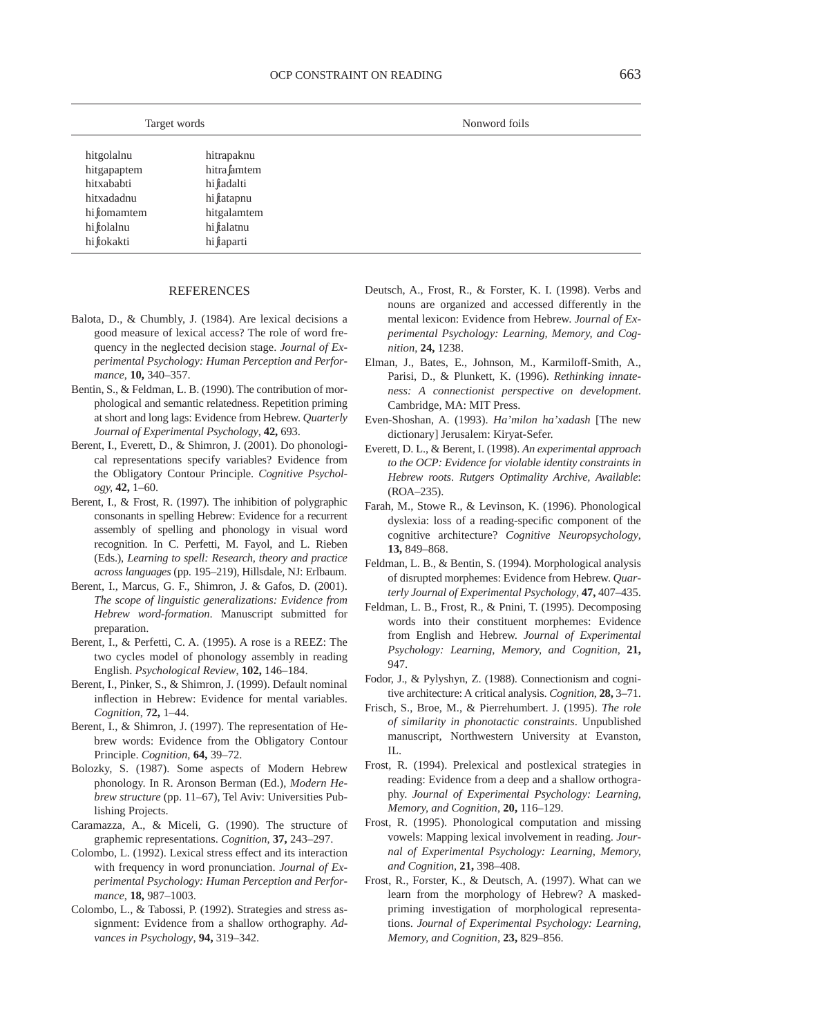| Target words                                                                                     |                                                                                                  | Nonword foils |
|--------------------------------------------------------------------------------------------------|--------------------------------------------------------------------------------------------------|---------------|
| hitgolalnu<br>hitgapaptem<br>hitxababti<br>hitxadadnu<br>hiltomamtem<br>hiftolalnu<br>hiftokakti | hitrapaknu<br>hitralamtem<br>hi∫tadalti<br>hiftatapnu<br>hitgalamtem<br>hi∫talatnu<br>hi∫taparti |               |

#### **REFERENCES**

- Balota, D., & Chumbly, J. (1984). Are lexical decisions a good measure of lexical access? The role of word frequency in the neglected decision stage. *Journal of Experimental Psychology: Human Perception and Performance*, **10,** 340–357.
- Bentin, S., & Feldman, L. B. (1990). The contribution of morphological and semantic relatedness. Repetition priming at short and long lags: Evidence from Hebrew. *Quarterly Journal of Experimental Psychology*, **42,** 693.
- Berent, I., Everett, D., & Shimron, J. (2001). Do phonological representations specify variables? Evidence from the Obligatory Contour Principle. *Cognitive Psychology,* **42,** 1–60.
- Berent, I., & Frost, R. (1997). The inhibition of polygraphic consonants in spelling Hebrew: Evidence for a recurrent assembly of spelling and phonology in visual word recognition. In C. Perfetti, M. Fayol, and L. Rieben (Eds.), *Learning to spell: Research, theory and practice across languages* (pp. 195–219), Hillsdale, NJ: Erlbaum.
- Berent, I., Marcus, G. F., Shimron, J. & Gafos, D. (2001). *The scope of linguistic generalizations: Evidence from Hebrew word-formation*. Manuscript submitted for preparation.
- Berent, I., & Perfetti, C. A. (1995). A rose is a REEZ: The two cycles model of phonology assembly in reading English. *Psychological Review*, **102,** 146–184.
- Berent, I., Pinker, S., & Shimron, J. (1999). Default nominal inflection in Hebrew: Evidence for mental variables. *Cognition*, **72,** 1–44.
- Berent, I., & Shimron, J. (1997). The representation of Hebrew words: Evidence from the Obligatory Contour Principle. *Cognition*, **64,** 39–72.
- Bolozky, S. (1987). Some aspects of Modern Hebrew phonology. In R. Aronson Berman (Ed.), *Modern Hebrew structure* (pp. 11–67), Tel Aviv: Universities Publishing Projects.
- Caramazza, A., & Miceli, G. (1990). The structure of graphemic representations. *Cognition*, **37,** 243–297.
- Colombo, L. (1992). Lexical stress effect and its interaction with frequency in word pronunciation. *Journal of Experimental Psychology: Human Perception and Performance*, **18,** 987–1003.
- Colombo, L., & Tabossi, P. (1992). Strategies and stress assignment: Evidence from a shallow orthography. *Advances in Psychology*, **94,** 319–342.
- Deutsch, A., Frost, R., & Forster, K. I. (1998). Verbs and nouns are organized and accessed differently in the mental lexicon: Evidence from Hebrew. *Journal of Experimental Psychology: Learning, Memory, and Cognition*, **24,** 1238.
- Elman, J., Bates, E., Johnson, M., Karmiloff-Smith, A., Parisi, D., & Plunkett, K. (1996). *Rethinking innateness: A connectionist perspective on development*. Cambridge, MA: MIT Press.
- Even-Shoshan, A. (1993). *Ha'milon ha'xadash* [The new dictionary] Jerusalem: Kiryat-Sefer.
- Everett, D. L., & Berent, I. (1998). *An experimental approach to the OCP: Evidence for violable identity constraints in Hebrew roots*. *Rutgers Optimality Archive, Available*: (ROA–235).
- Farah, M., Stowe R., & Levinson, K. (1996). Phonological dyslexia: loss of a reading-specific component of the cognitive architecture? *Cognitive Neuropsychology*, **13,** 849–868.
- Feldman, L. B., & Bentin, S. (1994). Morphological analysis of disrupted morphemes: Evidence from Hebrew. *Quarterly Journal of Experimental Psychology*, **47,** 407–435.
- Feldman, L. B., Frost, R., & Pnini, T. (1995). Decomposing words into their constituent morphemes: Evidence from English and Hebrew. *Journal of Experimental Psychology: Learning, Memory, and Cognition*, **21,** 947.
- Fodor, J., & Pylyshyn, Z. (1988). Connectionism and cognitive architecture: A critical analysis. *Cognition*, **28,** 3–71.
- Frisch, S., Broe, M., & Pierrehumbert. J. (1995). *The role of similarity in phonotactic constraints*. Unpublished manuscript, Northwestern University at Evanston, IL.
- Frost, R. (1994). Prelexical and postlexical strategies in reading: Evidence from a deep and a shallow orthography. *Journal of Experimental Psychology: Learning, Memory, and Cognition*, **20,** 116–129.
- Frost, R. (1995). Phonological computation and missing vowels: Mapping lexical involvement in reading. *Journal of Experimental Psychology: Learning, Memory, and Cognition*, **21,** 398–408.
- Frost, R., Forster, K., & Deutsch, A. (1997). What can we learn from the morphology of Hebrew? A maskedpriming investigation of morphological representations. *Journal of Experimental Psychology: Learning, Memory, and Cognition*, **23,** 829–856.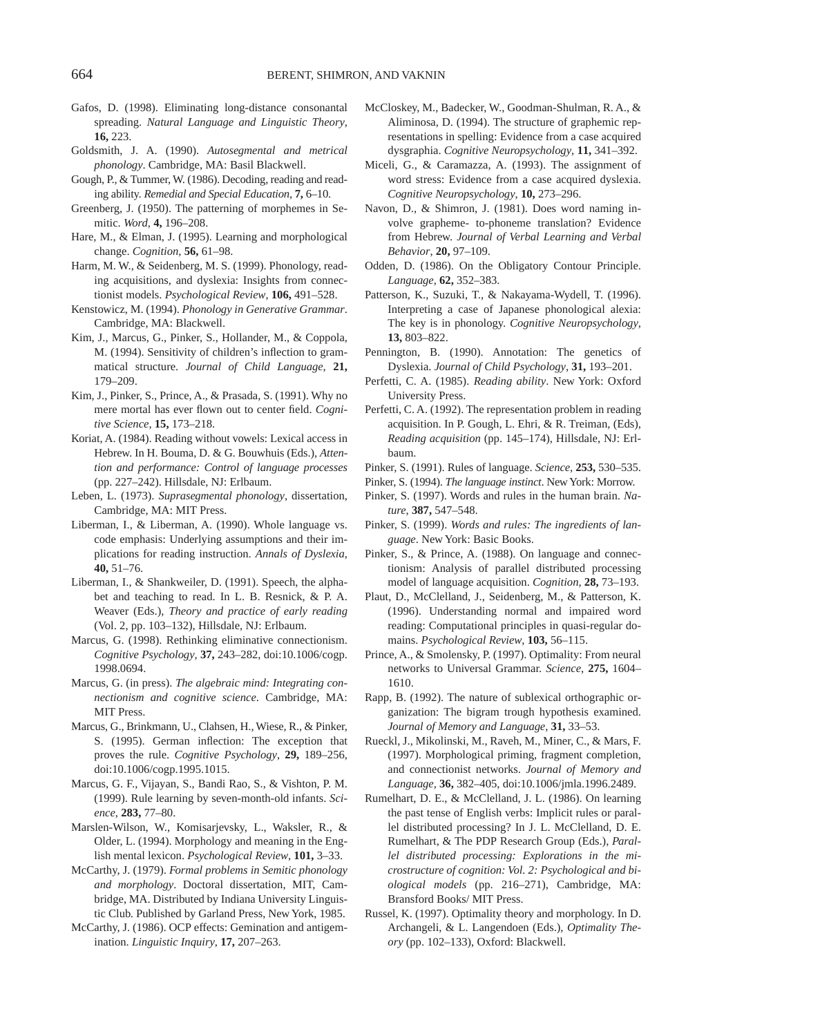- Gafos, D. (1998). Eliminating long-distance consonantal spreading. *Natural Language and Linguistic Theory*, **16,** 223.
- Goldsmith, J. A. (1990). *Autosegmental and metrical phonology*. Cambridge, MA: Basil Blackwell.
- Gough, P., & Tummer, W. (1986). Decoding, reading and reading ability. *Remedial and Special Education*, **7,** 6–10.
- Greenberg, J. (1950). The patterning of morphemes in Semitic. *Word*, **4,** 196–208.
- Hare, M., & Elman, J. (1995). Learning and morphological change. *Cognition*, **56,** 61–98.
- Harm, M. W., & Seidenberg, M. S. (1999). Phonology, reading acquisitions, and dyslexia: Insights from connectionist models. *Psychological Review*, **106,** 491–528.
- Kenstowicz, M. (1994). *Phonology in Generative Grammar*. Cambridge, MA: Blackwell.
- Kim, J., Marcus, G., Pinker, S., Hollander, M., & Coppola, M. (1994). Sensitivity of children's inflection to grammatical structure. *Journal of Child Language*, **21,** 179–209.
- Kim, J., Pinker, S., Prince, A., & Prasada, S. (1991). Why no mere mortal has ever flown out to center field. *Cognitive Science*, **15,** 173–218.
- Koriat, A. (1984). Reading without vowels: Lexical access in Hebrew. In H. Bouma, D. & G. Bouwhuis (Eds.), *Attention and performance: Control of language processes* (pp. 227–242). Hillsdale, NJ: Erlbaum.
- Leben, L. (1973). *Suprasegmental phonology*, dissertation, Cambridge, MA: MIT Press.
- Liberman, I., & Liberman, A. (1990). Whole language vs. code emphasis: Underlying assumptions and their implications for reading instruction. *Annals of Dyslexia*, **40,** 51–76.
- Liberman, I., & Shankweiler, D. (1991). Speech, the alphabet and teaching to read. In L. B. Resnick, & P. A. Weaver (Eds.), *Theory and practice of early reading* (Vol. 2, pp. 103–132), Hillsdale, NJ: Erlbaum.
- Marcus, G. (1998). Rethinking eliminative connectionism. *Cognitive Psychology*, **37,** 243–282, doi:10.1006/cogp. 1998.0694.
- Marcus, G. (in press). *The algebraic mind: Integrating connectionism and cognitive science*. Cambridge, MA: MIT Press.
- Marcus, G., Brinkmann, U., Clahsen, H., Wiese, R., & Pinker, S. (1995). German inflection: The exception that proves the rule. *Cognitive Psychology*, **29,** 189–256, doi:10.1006/cogp.1995.1015.
- Marcus, G. F., Vijayan, S., Bandi Rao, S., & Vishton, P. M. (1999). Rule learning by seven-month-old infants. *Science*, **283,** 77–80.
- Marslen-Wilson, W., Komisarjevsky, L., Waksler, R., & Older, L. (1994). Morphology and meaning in the English mental lexicon. *Psychological Review*, **101,** 3–33.
- McCarthy, J. (1979). *Formal problems in Semitic phonology and morphology*. Doctoral dissertation, MIT, Cambridge, MA. Distributed by Indiana University Linguistic Club. Published by Garland Press, New York, 1985.
- McCarthy, J. (1986). OCP effects: Gemination and antigemination. *Linguistic Inquiry*, **17,** 207–263.
- McCloskey, M., Badecker, W., Goodman-Shulman, R. A., & Aliminosa, D. (1994). The structure of graphemic representations in spelling: Evidence from a case acquired dysgraphia. *Cognitive Neuropsychology*, **11,** 341–392.
- Miceli, G., & Caramazza, A. (1993). The assignment of word stress: Evidence from a case acquired dyslexia. *Cognitive Neuropsychology*, **10,** 273–296.
- Navon, D., & Shimron, J. (1981). Does word naming involve grapheme- to-phoneme translation? Evidence from Hebrew. *Journal of Verbal Learning and Verbal Behavior*, **20,** 97–109.
- Odden, D. (1986). On the Obligatory Contour Principle. *Language*, **62,** 352–383.
- Patterson, K., Suzuki, T., & Nakayama-Wydell, T. (1996). Interpreting a case of Japanese phonological alexia: The key is in phonology. *Cognitive Neuropsychology*, **13,** 803–822.
- Pennington, B. (1990). Annotation: The genetics of Dyslexia. *Journal of Child Psychology*, **31,** 193–201.
- Perfetti, C. A. (1985). *Reading ability*. New York: Oxford University Press.
- Perfetti, C. A. (1992). The representation problem in reading acquisition. In P. Gough, L. Ehri, & R. Treiman, (Eds), *Reading acquisition* (pp. 145–174), Hillsdale, NJ: Erlbaum.
- Pinker, S. (1991). Rules of language. *Science*, **253,** 530–535.
- Pinker, S. (1994). *The language instinct*. New York: Morrow.
- Pinker, S. (1997). Words and rules in the human brain. *Nature*, **387,** 547–548.
- Pinker, S. (1999). *Words and rules: The ingredients of language*. New York: Basic Books.
- Pinker, S., & Prince, A. (1988). On language and connectionism: Analysis of parallel distributed processing model of language acquisition. *Cognition*, **28,** 73–193.
- Plaut, D., McClelland, J., Seidenberg, M., & Patterson, K. (1996). Understanding normal and impaired word reading: Computational principles in quasi-regular domains. *Psychological Review*, **103,** 56–115.
- Prince, A., & Smolensky, P. (1997). Optimality: From neural networks to Universal Grammar. *Science*, **275,** 1604– 1610.
- Rapp, B. (1992). The nature of sublexical orthographic organization: The bigram trough hypothesis examined. *Journal of Memory and Language*, **31,** 33–53.
- Rueckl, J., Mikolinski, M., Raveh, M., Miner, C., & Mars, F. (1997). Morphological priming, fragment completion, and connectionist networks. *Journal of Memory and Language*, **36,** 382–405, doi:10.1006/jmla.1996.2489.
- Rumelhart, D. E., & McClelland, J. L. (1986). On learning the past tense of English verbs: Implicit rules or parallel distributed processing? In J. L. McClelland, D. E. Rumelhart, & The PDP Research Group (Eds.), *Parallel distributed processing: Explorations in the microstructure of cognition: Vol. 2: Psychological and biological models* (pp. 216–271), Cambridge, MA: Bransford Books/ MIT Press.
- Russel, K. (1997). Optimality theory and morphology. In D. Archangeli, & L. Langendoen (Eds.), *Optimality Theory* (pp. 102–133), Oxford: Blackwell.